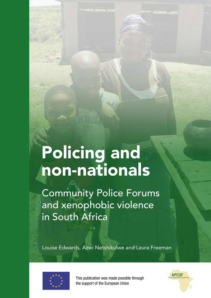# Policing and non-nationals

Community Police Forums and xenophobic violence in South Africa

Louise Edwards, Azwi Netshikulwe and Laura Freeman



This publication was made possible through the support of the European Union

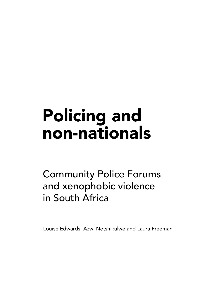# Policing and non-nationals

Community Police Forums and xenophobic violence in South Africa

Louise Edwards, Azwi Netshikulwe and Laura Freeman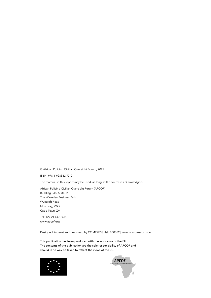© African Policing Civilian Oversight Forum, 2021

ISBN: 978-1-928332-77-0

The material in this report may be used, as long as the source is acknowledged.

African Policing Civilian Oversight Forum (APCOF) Building 23b, Suite 16 The Waverley Business Park Wyecroft Road Mowbray, 7925 Cape Town, ZA

Tel: +27 21 447 2415 www.apcof.org

Designed, typeset and proofread by COMPRESS.dsl | 800362 | www.compressdsl.com

This publication has been produced with the assistance of the EU. The contents of the publication are the sole responsibility of APCOF and should in no way be taken to reflect the views of the EU.



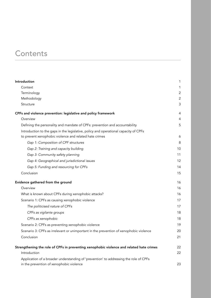# **Contents**

| Introduction                                                                                                                      | 1              |
|-----------------------------------------------------------------------------------------------------------------------------------|----------------|
| Context                                                                                                                           | 1              |
| Terminology                                                                                                                       | 2              |
| Methodology                                                                                                                       | $\overline{2}$ |
| Structure                                                                                                                         | 3              |
| CPFs and violence prevention: legislative and policy framework                                                                    | 4              |
| Overview                                                                                                                          | 4              |
| Defining the personality and mandate of CPFs: prevention and accountability                                                       | 5              |
| Introduction to the gaps in the legislative, policy and operational capacity of CPFs                                              |                |
| to prevent xenophobic violence and related hate crimes                                                                            | 6              |
| Gap 1: Composition of CPF structures                                                                                              | 8              |
| Gap 2: Training and capacity building                                                                                             | 10             |
| Gap 3: Community safety planning                                                                                                  | 11             |
| Gap 4: Geographical and jurisdictional issues                                                                                     | 12             |
| Gap 5: Funding and resourcing for CPFs                                                                                            | 14             |
| Conclusion                                                                                                                        | 15             |
| Evidence gathered from the ground                                                                                                 | 16             |
| Overview                                                                                                                          | 16             |
| What is known about CPFs during xenophobic attacks?                                                                               | 16             |
| Scenario 1: CPFs as causing xenophobic violence                                                                                   | 17             |
| The politicised nature of CPFs                                                                                                    | 17             |
| CPFs as vigilante groups                                                                                                          | 18             |
| CPFs as xenophobic                                                                                                                | 18             |
| Scenario 2: CPFs as preventing xenophobic violence                                                                                | 19             |
| Scenario 3: CPFs as irrelevant or unimportant in the prevention of xenophobic violence                                            | 20             |
| Conclusion                                                                                                                        | 21             |
| Strengthening the role of CPFs in preventing xenophobic violence and related hate crimes                                          | 22             |
| Introduction                                                                                                                      | 22             |
| Application of a broader understanding of 'prevention' to addressing the role of CPFs<br>in the prevention of xenophobic violence | 23             |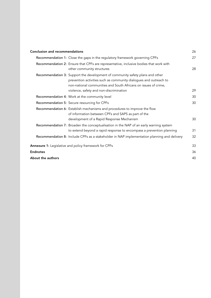| <b>Conclusion and recommendations</b>                                                                                                                                                                                                                            | 26 |
|------------------------------------------------------------------------------------------------------------------------------------------------------------------------------------------------------------------------------------------------------------------|----|
| Recommendation 1: Close the gaps in the regulatory framework governing CPFs                                                                                                                                                                                      | 27 |
| Recommendation 2: Ensure that CPFs are representative, inclusive bodies that work with<br>other community structures                                                                                                                                             | 28 |
| Recommendation 3: Support the development of community safety plans and other<br>prevention activities such as community dialogues and outreach to<br>non-national communities and South Africans on issues of crime,<br>violence, safety and non-discrimination | 29 |
| Recommendation 4: Work at the community level                                                                                                                                                                                                                    | 30 |
| Recommendation 5: Secure resourcing for CPFs                                                                                                                                                                                                                     | 30 |
| Recommendation 6: Establish mechanisms and procedures to improve the flow<br>of information between CPFs and SAPS as part of the<br>development of a Rapid Response Mechanism                                                                                    | 30 |
| Recommendation 7: Broaden the conceptualisation in the NAP of an early warning system<br>to extend beyond a rapid response to encompass a prevention planning                                                                                                    | 31 |
| Recommendation 8: Include CPFs as a stakeholder in NAP implementation planning and delivery                                                                                                                                                                      | 32 |
| Annexure 1: Legislative and policy framework for CPFs                                                                                                                                                                                                            | 33 |
| <b>Endnotes</b>                                                                                                                                                                                                                                                  | 36 |
| About the authors                                                                                                                                                                                                                                                | 40 |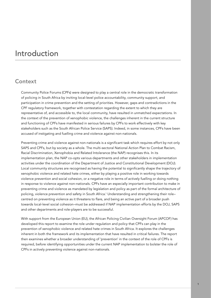# Introduction

# **Context**

Community Police Forums (CPFs) were designed to play a central role in the democratic transformation of policing in South Africa by inviting local-level police accountability, community support, and participation in crime prevention and the setting of priorities. However, gaps and contradictions in the CPF regulatory framework, together with contestation regarding the extent to which they are representative of, and accessible to, the local community, have resulted in unmatched expectations. In the context of the prevention of xenophobic violence, the challenges inherent in the current structure and functioning of CPFs have manifested in serious failures by CPFs to work effectively with key stakeholders such as the South African Police Service (SAPS). Indeed, in some instances, CPFs have been accused of instigating and fuelling crime and violence against non-nationals.

Preventing crime and violence against non-nationals is a significant task which requires effort by not only SAPS and CPFs, but by society as a whole. The multi-sectoral National Action Plan to Combat Racism, Racial Discrimination, Xenophobia and Related Intolerance (the NAP) recognises this. In its implementation plan, the NAP co-opts various departments and other stakeholders in implementation activities under the coordination of the Department of Justice and Constitutional Development (DOJ). Local community structures are recognised as having the potential to significantly shape the trajectory of xenophobic violence and related hate crimes, either by playing a positive role in working towards violence prevention and social cohesion, or a negative role in terms of actively fuelling or doing nothing in response to violence against non-nationals. CPFs have an especially important contribution to make in preventing crime and violence as mandated by legislation and policy as part of the formal architecture of policing, violence prevention and safety in South Africa.1 Understanding and strengthening their role– centred on preventing violence as it threatens to flare, and being an active part of a broader push towards local-level social cohesion–must be addressed if NAP implementation efforts by the DOJ, SAPS and other departments and role-players are to be successful.

With support from the European Union (EU), the African Policing Civilian Oversight Forum (APCOF) has developed this report to examine the role under regulation and policy that CPFs can play in the prevention of xenophobic violence and related hate crimes in South Africa. It explores the challenges inherent in both the framework and its implementation that have resulted in critical failures. The report then examines whether a broader understanding of 'prevention' in the context of the role of CPFs is required, before identifying opportunities under the current NAP implementation to bolster the role of CPFs in actively preventing violence against non-nationals.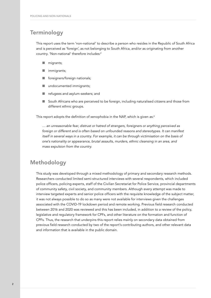# **Terminology**

This report uses the term 'non-national' to describe a person who resides in the Republic of South Africa and is perceived as 'foreign', as not belonging to South Africa, and/or as originating from another country. 'Non-national' therefore includes:2

- $\Box$  migrants;
- **n** immigrants;
- foreigners/foreign nationals;
- undocumented immigrants;
- refugees and asylum-seekers; and
- South Africans who are perceived to be foreign, including naturalised citizens and those from different ethnic groups.

This report adopts the definition of xenophobia in the NAP, which is given as:<sup>3</sup>

*… an unreasonable fear, distrust or hatred of strangers, foreigners or anything perceived as foreign or different and is often based on unfounded reasons and stereotypes. It can manifest itself in several ways in a country. For example, it can be through victimisation on the basis of one's nationality or appearance, brutal assaults, murders, ethnic cleansing in an area, and mass expulsion from the country.*

# Methodology

This study was developed through a mixed methodology of primary and secondary research methods. Researchers conducted limited semi-structured interviews with several respondents, which included police officers, policing experts, staff of the Civilian Secretariat for Police Service, provincial departments of community safety, civil society, and community members. Although every attempt was made to interview targeted experts and senior police officers with the requisite knowledge of the subject matter, it was not always possible to do so as many were not available for interviews given the challenges associated with the COVID-19 lockdown period and remote working. Previous field research conducted between 2016 and 2020 was reviewed and this has been included, in addition to a review of the policy, legislative and regulatory framework for CPFs, and other literature on the formation and function of CPFs. Thus, the research that underpins this report relies mainly on secondary data obtained from previous field research conducted by two of the report's contributing authors, and other relevant data and information that is available in the public domain.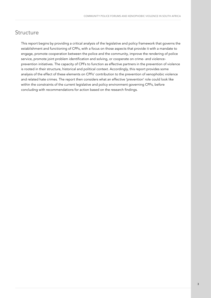# **Structure**

This report begins by providing a critical analysis of the legislative and policy framework that governs the establishment and functioning of CPFs, with a focus on those aspects that provide it with a mandate to engage, promote cooperation between the police and the community, improve the rendering of police service, promote joint problem identification and solving, or cooperate on crime- and violenceprevention initiatives. The capacity of CPFs to function as effective partners in the prevention of violence is rooted in their structure, historical and political context. Accordingly, this report provides some analysis of the effect of these elements on CPFs' contribution to the prevention of xenophobic violence and related hate crimes. The report then considers what an effective 'prevention' role could look like within the constraints of the current legislative and policy environment governing CPFs, before concluding with recommendations for action based on the research findings.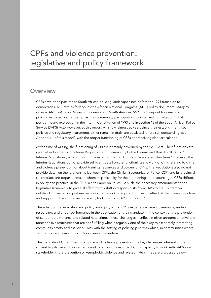# CPFs and violence prevention: legislative and policy framework

### **Overview**

CPFs have been part of the South African policing landscape since before the 1994 transition to democratic rule. From as far back as the African National Congress' (ANC) policy document *Ready to govern: ANC policy guidelines for a democratic South Africa* in 1992, the blueprint for democratic policing included a strong emphasis on community participation, support and consultation.<sup>4</sup> That position found expression in the interim Constitution of 1993 and in section 18 of the South African Police Service (SAPS) Act.<sup>5</sup> However, as this report will show, almost 30 years since their establishment, key policies and regulatory instruments either remain in draft, are outdated, or are still outstanding (see Appendix 1 of this report), with the proper functioning of CPFs not receiving clear articulation.

At the time of writing, the functioning of CPFs is primarily governed by the SAPS Act. Their functions are given effect in the SAPS Interim Regulations for Community Police Forums and Boards (2011) (SAPS Interim Regulations), which focus on the establishment of CPFs and associated structures.<sup>6</sup> However, the Interim Regulations do not provide sufficient detail on the functioning and work of CPFs relating to crime and violence prevention, or about training, resources and powers of CPFs. The Regulations also do not provide detail on the relationship between CPFs, the Civilian Secretariat for Police (CSP) and its provincial secretariats and departments, to whom responsibility for the functioning and resourcing of CPFs shifted, in policy and practice, in the 2016 White Paper on Police. As such, the necessary amendments to the legislative framework to give full effect to this shift in responsibility from SAPS to the CSP remain outstanding, and a comprehensive policy framework is required to give full effect of the powers, function and support in the shift in responsibility for CPFs from SAPS to the CSP.<sup>7</sup>

The effect of the legislative and policy ambiguity is that CPFs experience weak governance, underresourcing, and under-performance in the application of their mandate. In the context of the prevention of xenophobic violence and related hate crimes, these challenges manifest in often unrepresentative and unresponsive structures that are not fulfilling what is arguably one of their key roles: namely, promoting community safety and assisting SAPS with the setting of policing priorities which, in communities where xenophobia is prevalent, includes violence prevention.

The mandate of CPFs in terms of crime and violence prevention, the key challenges inherent in the current legislative and policy framework, and how these impact CPFs' capacity to work with SAPS as a stakeholder in the prevention of xenophobic violence and related hate crimes are discussed below.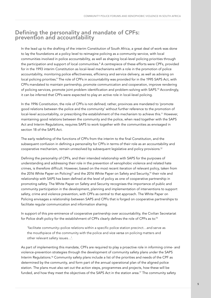# Defining the personality and mandate of CPFs: prevention and accountability

In the lead up to the drafting of the interim Constitution of South Africa, a great deal of work was done to lay the foundations at a policy level to reimagine policing as a community service, with local communities involved in police accountability, as well as shaping local-level policing priorities through the participation and support of local communities.8 A centrepiece of these efforts were CPFs, provided for in the 1993 interim Constitution as local-level mechanisms with a role in the promotion of police accountability, monitoring police effectiveness, efficiency and service delivery, as well as advising on local policing priorities.<sup>9</sup> The role of CPFs in accountability was provided for in the 1995 SAPS Act, with CPFs mandated to maintain partnership, promote communication and cooperation, improve rendering of policing services, promote joint problem identification and problem-solving with SAPS.10 Accordingly, it can be inferred that CPFs were expected to play an active role in local-level policing.

In the 1996 Constitution, the role of CPFs is not defined; rather, provinces are mandated to 'promote good relations between the police and the community' without further reference to the promotion of local-level accountability, or prescribing the establishment of the mechanism to achieve this.<sup>11</sup> However, maintaining good relations between the community and the police, when read together with the SAPS Act and Interim Regulations, requires SAPS to work together with the communities as envisaged in section 18 of the SAPS Act.

The early redefining of the functions of CPFs from the interim to the final Constitution, and the subsequent confusion in defining a personality for CPFs in terms of their role as an accountability and cooperative mechanism, remain unresolved by subsequent legislative and policy provisions.12

Defining the personality of CPFs, and their intended relationship with SAPS for the purposes of understanding and addressing their role in the prevention of xenophobic violence and related hate crimes, is therefore difficult. However, based on the most recent iteration of relevant policy, taken from the 2016 White Paper on Policing<sup>13</sup> and the 2016 White Paper on Safety and Security,<sup>14</sup> their role and relationship with SAPS has been defined at the level of policy as one of cooperative partnership in promoting safety. The White Paper on Safety and Security recognises the importance of public and community participation in the development, planning and implementation of interventions to support safety, crime and violence prevention, with CPFs as central to that approach. The White Paper on Policing envisages a relationship between SAPS and CPFs that is forged on cooperative partnerships to facilitate regular communication and information sharing.

In support of this pre-eminence of cooperative partnership over accountability, the Civilian Secretariat for Police draft policy for the establishment of CPFs clearly defines the role of CPFs as to:<sup>15</sup>

'facilitate community–police relations within a specific police station precinct…and serve as the mouthpiece of the community with the police and *vice versa* on policing matters and other relevant safety issues…'.

As part of implementing this mandate, CPFs are required to play a proactive role in informing crime- and violence-prevention strategies through the development of community safety plans under the SAPS Interim Regulations.<sup>16</sup> Community safety plans include a list of the priorities and needs of the CPF as determined by the community, and form part of the annual operational plan of the aligned police station. The plans must also set out the action steps, programmes and projects, how these will be funded, and how they meet the objectives of the SAPS Act in the station area.<sup>17</sup> The community safety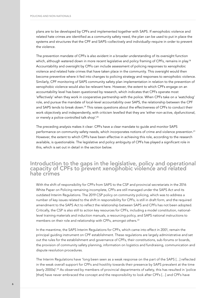plans are to be developed by CPFs and implemented together with SAPS. If xenophobic violence and related hate crimes are identified as a community safety need, the plan can be used to put in place the systems and structures that the CPF and SAPS–collectively and individually–require in order to prevent the violence.

The prevention mandate of CPFs is also evident in a broader understanding of its oversight function which, although watered down in more recent legislative and policy framing of CPFs, remains in play.<sup>18</sup> Accountability and oversight by CPFs can include assessment of policing responses to xenophobic violence and related hate crimes that have taken place in the community. This oversight would then become preventive where it fed into changes to policing strategy and responses to xenophobic violence. Similarly, CPF monitoring of SAPS community safety plan implementation in relation to the prevention of xenophobic violence would also be relevant here. However, the extent to which CPFs engage on an accountability level has been questioned by research, which indicates that CPFs operate most 'effectively' when they work in cooperative partnership with the police. When CPFs take on a 'watchdog' role, and pursue the mandate of local-level accountability over SAPS, the relationship between the CPF and SAPS tends to break down.<sup>19</sup> This raises questions about the effectiveness of CPFs to conduct their work objectively and independently, with criticism levelled that they are 'either non-active, dysfunctional, or merely a police-controlled talk shop'.<sup>20</sup>

The preceding analysis makes it clear: CPFs have a clear mandate to guide and monitor SAPS performance on community safety needs, which incorporates notions of crime and violence prevention.<sup>21</sup> However, the extent to which CPFs have been effective in achieving this role, according to the research available, is questionable. The legislative and policy ambiguity of CPFs has played a significant role in this, which is set out in detail in the section below.

### Introduction to the gaps in the legislative, policy and operational capacity of CPFs to prevent xenophobic violence and related hate crimes

With the shift of responsibility for CPFs from SAPS to the CSP and provincial secretariats in the 2016 White Paper on Policing remaining incomplete, CPFs are still managed under the SAPS Act and its outdated Interim Regulations. The 2019 CSP policy on community policing, which was to address a number of key issues related to the shift in responsibility for CPFs, is still in draft form, and the required amendment to the SAPS Act to reflect the relationship between SAPS and CPFs has not been adopted. Critically, the CSP is also still to action key resources for CPFs, including a model constitution, nationallevel training materials and induction manuals, a resourcing policy, and SAPS national instructions to members on their role and relationship with CPFs, amongst others.22

In the meantime, the SAPS Interim Regulations for CPFs, which came into effect in 2001, remain the principal guiding instrument on CPF establishment. These regulations are largely administrative and set out the rules for the establishment and governance of CPFs, their constitutions, sub-forums or boards, the provision of community safety planning, information on logistics and fundraising, communication and dispute resolution procedures.

The Interim Regulations have 'long been seen as a weak response on the part of the SAPS […] reflected in the weak overall support for CPFs and hostility towards their presence by SAPS prevalent at the time (early 2000s)'.23 As observed by members of provincial departments of safety, this has resulted in 'police [that] have never embraced the concept and the responsibility to look after CPFs […] and CPFs have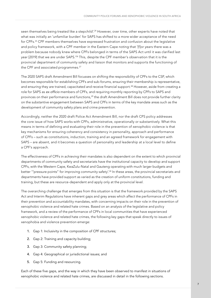seen themselves being treated like a stepchild'.<sup>24</sup> However, over time, other experts have noted that what was initially an 'unfamiliar burden' for SAPS has shifted to a more wider acceptance of the need for CPFs.25 CPF members themselves have expressed frustration and confusion about the legislative and policy framework, with a CPF member in the Eastern Cape noting that '[f]or years there was a problem because nobody knew where CPFs belonged in terms of the SAPS Act until it was clarified last year [2019] that we are under SAPS.'26 This, despite the CPF member's observation that it is the provincial department of community safety and liaison that monitors and supports the functioning of the CPF and associated programmes.<sup>27</sup>

The 2020 SAPS draft Amendment Bill focusses on shifting the responsibility of CPFs to the CSP, which becomes responsible for establishing CPFs and sub-forums, ensuring their membership is representative, and ensuring they are trained, capacitated and receive financial support.<sup>28</sup> However, aside from creating a role for SAPS as *ex officio* members of CPFs, and requiring monthly reporting by CPFs to SAPS and provinces on their performance and functions,<sup>29</sup> the draft Amendment Bill does not provide further clarity on the substantive engagement between SAPS and CPFs in terms of the key mandate areas such as the development of community safety plans and crime prevention.

Accordingly, neither the 2020 draft Police Act Amendment Bill, nor the draft CPS policy addresses the core issue of how SAPS works with CPFs, administrative, operationally or substantively. What this means in terms of defining and evaluating their role in the prevention of xenophobic violence is that key mechanisms for ensuring coherency and consistency in personality, approach and performance of CPFs – such as constitutions, induction, training and an agreed framework for engagement with SAPS – are absent, and it becomes a question of personality and leadership at a local level to define a CPF's approach.

The effectiveness of CPFs in achieving their mandates is also dependent on the extent to which provincial departments of community safety and secretariats have the institutional capacity to develop and support CPFs, with the Western Cape, KwaZulu-Natal and Gauteng operating with much larger budgets and better ""pressure points" for improving community safety'.<sup>30</sup> In these areas, the provincial secretariats and departments have provided support as varied as the creation of uniform constitutions, funding and training, but these are resource-dependent and apply only at the provincial level.

The overarching challenge that emerges from this situation is that the framework provided by the SAPS Act and Interim Regulations have inherent gaps and grey areas which affect the performance of CPFs in their prevention and accountability mandates, with concerning impacts on their role in the prevention of xenophobic violence and related hate crimes. Based on an analysis of the legislative and policy framework, and a review of the performance of CPFs in local communities that have experienced xenophobic violence and related hate crimes, the following key gaps that speak directly to issues of xenophobia and violence prevention emerge:

- 1. Gap 1: Inclusivity in the composition of CPF structures;
- 2. Gap 2: Training and capacity building;
- 3. Gap 3: Community safety planning;
- 4. Gap 4: Geographical or jurisdictional issues; and
- 5. Gap 5: Funding and resourcing.

Each of these five gaps, and the way in which they have been observed to manifest in situations of xenophobic violence and related hate crimes, are discussed in detail in the following sections.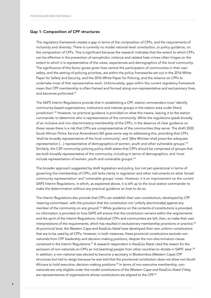#### Gap 1: Composition of CPF structures

The regulatory framework creates a gap in terms of the composition of CPFs, and the requirements of inclusivity and diversity. There is currently no model national-level constitution, or policy guidance, on the composition of CPFs. This is significant because the research indicates that the extent to which CPFs can be effective in the prevention of xenophobic violence and related hate crimes often hinges on the extent to which it is representative of the views, experiences and demographics of the local community. The significance of this factor grows given how central the participation of communities in their own safety, and the setting of policing priorities, are within the policy frameworks set out in the 2016 White Paper for Safety and Security, and the 2016 White Paper for Policing, and the reliance on CPFs to undertake most of that representative work. Unfortunately, gaps within the current regulatory framework mean that CPF membership is often framed and formed along non-representative and exclusionary lines, and becomes politicised.31

The SAPS Interim Regulations provide that in establishing a CPF, station commanders must 'identify community-based organisations, institutions and interest groups in the station area under [their] jurisdiction'.<sup>32</sup> However, no practical quidance is provided on what this means, leaving it to the station commander to determine who is representative of the community. While the regulations speak broadly of an inclusive and non-discriminatory membership of the CPFs, in the absence of clear guidance on these issues there is a risk that CPFs are unrepresentative of the communities they serve. The draft 2020 South African Police Service Amendment Bill goes some way to addressing this, providing that CPFs 'shall be broadly representative of the local community', and '[t]he Minister shall prescribe adequate representation […] representative of demographics of women, youth and other vulnerable groups'.33 Similarly, the CSP community policing policy draft states that CPFs should be comprised of groups that are both broadly representative of the community, including in terms of demographics, and 'must include representation of women, youth and vulnerable groups'.34

The broader approach suggested by draft legislation and policy, but not yet operational in terms of governing the membership of CPFs, still lacks clarity in regulation and other instruments on what 'broad community representation' and 'vulnerable groups' mean. However, it is an improvement on the current SAPS Interim Regulations, in which, as explained above, it is left up to the local station commander to make the determination without any practical guidance on how to do so.

The Interim Regulations also provide that CPFs can establish their own constitutions, developed by CPF 'steering committees', with the provision that the constitution not 'unfairly discriminat[e] against any member of the community on any ground'.<sup>35</sup> While guidance on the contents of constitutions is provided, no information is provided on how SAPS will ensure that the constitution remains within the requirements and the spirit of the Interim Regulations. Individual CPFs and communities are left, then, to make their own interpretations of the requirements, which has resulted in exclusionary membership provisions or practice.<sup>36</sup> At provincial level, the Western Cape and KwaZulu-Natal have developed their own uniform constitutions that are to be used by all CPFs. However, in both instances, these provincial constitutions exclude nonnationals from CPF leadership and decision-making positions, despite the non-discrimination clause contained in the Interim Regulations.<sup>37</sup> A research respondent in KwaZulu-Natal cited the reason for the exclusion of non-nationals on CPFs as 'not [wanting] people from other countries to dictate in SAPS' area'.38 In addition, a non-national was elected to become a secretary in Bloekombos (Western Cape) CPF structures but had to resign because he was told that the provisional constitution does not allow non-South Africans to hold executive, decision-making positions.<sup>39</sup> In terms of non-executive membership, nonnationals are only eligible under the model constitutions of the Western Cape and KwaZulu-Natal if they are representatives of organisations whose constitutions are aligned to the CPF.40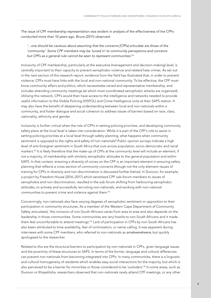The issue of CPF membership representation was evident in analysis of the effectiveness of the CPFs conducted more than 10 years ago. Bruce (2011) observed:

*'…one should be cautious about assuming that the concerns [CPFs] articulate are those of the 'community'. Some CPF members may be 'tuned in' to community perceptions and concerns but CPFs as a general rule cannot be seen to represent communities'.*<sup>41</sup>

Inclusivity of CPF membership, particularly at the executive (management and decision-making) level, is centrally important to their capacity to prevent xenophobic violence and related hate crimes. As set out in the next section of this research report, evidence from the field has illustrated that, in order to prevent violence, CPFs must have links with the local and non-national community. To be effective, the CPF must know community affairs and politics, which necessitates varied and representative membership, and includes attending community meetings (at which most coordinated xenophobic attacks are organised). Utilising this network, CPFs would then have access to the intelligence and networks needed to provide useful information to the Visible Policing (VISPOL) and Crime Intelligence units at their SAPS station. It may also have the benefit of deepening understanding between local and non-nationals within a community, and foster dialogue and social cohesion to address issues of barriers based on race, class, nationality, ethnicity and gender.

Inclusivity is further critical when the role of CPFs in setting policing priorities, and developing community safety plans at the local level is taken into consideration. While it is part of the CPF's role to assist in setting policing priorities at a local level through safety planning, what happens when community sentiment is opposed to the rights and safety of non-nationals? Public opinion surveys indicate a high level of anti-foreigner sentiment in South Africa that cuts across population, socio-democratic and racial markers.42 It is likely therefore that the make-up of CPFs at the community level will include an element, if not a majority, of membership with similarly xenophobic attitudes to the general population and within SAPS. In that context, ensuring a diversity of voices on the CPF is an important element in ensuring safety planning that reflects a cross-section of community concerns (though not the only element–issues of training for CPFs in diversity and non-discrimination is discussed further below). In Dunoon, for example, a project by Freedom House (2016–2017) which sensitised CPF sub-forum members to issues of xenophobia and non-discrimination, resulted in the sub-forum shifting from harbouring xenophobic attitudes, to actively and successfully recruiting non-nationals, and working with non-national communities to prevent crime and violence against them.<sup>43</sup>

Concerningly, non-nationals also face varying degrees of xenophobic sentiment or opposition to their participation in community structures. As a member of the Western Cape Department of Community Safety articulated, 'the inclusion of non-South Africans varies from area to area and also depends on the leadership in those communities. Some communities are very hostile to non-South Africans and it made them feel uncomfortable to attend meetings'.<sup>44</sup> Lack of participation in CPFs by non-South Africans has also been attributed to time availability, fear of victimisation, or name-calling. It was apparent during interviews with some CPF members, who referred to non-nationals as *amakwerekwere*, but quickly apologised to the researcher.

Related to this are the structural barriers to participation by non-nationals in CPFs, given language issues and the proximity of these structures to SAPS. In terms of the former, language and cultural differences can prevent non-nationals from becoming integrated into CPFs. In many communities, there is a linguistic and cultural homogeneity of residents which enables easy social interactions for the majority, but which is also perceived to be a barrier for minorities or those considered to be 'outsiders'.45 In some areas, such as Dunoon or Khayelitsha, researchers observed that non-nationals rarely attend CPF meetings, or any other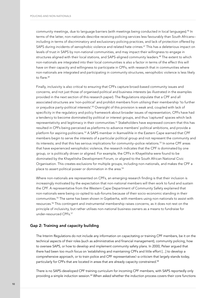community meetings, due to language barriers (with meetings being conducted in local languages).<sup>46</sup> In terms of the latter, non-nationals describe receiving policing services less favourably than South Africans– including in terms of discriminatory and exclusionary policing practices, and lack of protection offered by SAPS during incidents of xenophobic violence and related hate crimes.<sup>47</sup> This has a deleterious impact on levels of trust in SAPS by non-national communities, and may impact their willingness to engage in structures aligned with their local stations, and SAPS-aligned community leaders.<sup>48</sup> The extent to which non-nationals are integrated into their local communities is also a factor in terms of the effect this will have on their capacity and willingness to participate in CPFs, with research that in communities where non-nationals are integrated and participating in community structures, xenophobic violence is less likely to flare.<sup>49</sup>

Finally, inclusivity is also critical to ensuring that CPFs capture broad-based community issues and concerns, and not just those of organised political and business interests (as illustrated in the examples provided in the next section of this research paper). The Regulations stipulate that a CPF and all associated structures are 'non-political' and prohibit members from utilising their membership 'to further or prejudice party-political interests'.<sup>50</sup> Oversight of this provision is weak and, coupled with lack of specificity in the regulatory and policy framework about broader issues of representation, CPFs have had a tendency to become dominated by political or interest groups, and thus 'captured' spaces which lack representativity and legitimacy in their communities.<sup>51</sup> Stakeholders have expressed concern that this has resulted in CPFs being perceived as platforms to advance members' political ambitions, and provide a platform for aspiring politicians.52 A SAPS member in Ikamvelihle in the Eastern Cape warned that CPF members begin to serve the interests of a particular political group and not represent the community and its interests; and that this has serious implications for community–police relations.53 In some CPF areas that have experienced xenophobic violence, the research indicates that the CPF is dominated by one group, or is politically driven or aligned. For example, the CPFs in Khayelitsha were found to be dominated by the Khayelitsha Development Forum, or aligned to the South African National Civic Organisation. This creates exclusions for multiple groups, including non-nationals, and makes the CPF a place to assert political power or domination in the area.<sup>54</sup>

Where non-nationals are represented on CPFs, an emerging research finding is that their inclusion is increasingly motivated by the expectation that non-national members will then work to fund and sustain the CPF. A representative from the Western Cape Department of Community Safety explained that non-nationals were being co-opted to sub-forums because of their socio-economic standing in their communities.55 The same has been shown in Gqeberha, with members using non-nationals to assist with resources.56 This contingent and instrumental membership raises concerns, as it does not rest on the principle of inclusivity, but rather utilises non-national business owners as a means to fundraise for under-resourced CPFs.57

#### Gap 2: Training and capacity building

The Interim Regulations do not include any information on capacitating or training CPF members, be it on the technical aspects of their roles (such as administrative and financial management), community policing, how to oversee SAPS, or how to develop and implement community safety plans. In 2000, Pelser argued that there had been too much focus on 'establishing and maintaining CPFs and little effort […] to develop a comprehensive approach, or to train police and CPF representatives'–a criticism that largely stands today, particularly for CPFs that are located in areas that are already capacity constrained.<sup>58</sup>

There is no SAPS-developed CPF training curriculum for incoming CPF members, with SAPS reportedly only providing a simple induction session.59 When asked whether the induction process covers their core functions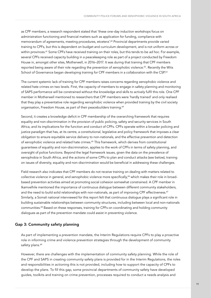as CPF members, a research respondent stated that 'these one-day induction workshops focus on administration functioning and financial matters such as application for funding, compliance with memorandum of agreements, meeting procedures, etcetera'.<sup>60</sup> Provincial departments provide varied training to CPFs, but this is dependent on budget and curriculum development, and is not uniform across or within provinces.61 Some CPFs have received training on their roles, but this tends to be *ad hoc*. For example, several CPFs received capacity building in a peacekeeping role as part of a project conducted by Freedom House in, amongst other sites, Motherwell, in 2016–2017. It was during that training that CPF members reported being aware of their role regarding the prevention of xenophobic violence.<sup>62</sup>. Recently the Wits School of Governance began developing training for CPF members in a collaboration with the CSP.63

The current systemic lack of training for CPF members raises concerns regarding xenophobic violence and related hate crimes on two levels. First, the capacity of members to engage in safety planning and monitoring of SAPS performance will be constrained without the knowledge and skills to actively fulfil this role. One CPF member in Motherwell mentioned to researchers that CPF members were 'hardly trained' and only realised that they play a preventative role regarding xenophobic violence when provided training by the civil society organisation, Freedom House, as part of their peacebuilders training.<sup>64</sup>

Second, it creates a knowledge deficit in CPF membership of the overarching framework that requires equality and non-discrimination in the provision of public policing, safety and security services in South Africa, and its implications for the function and conduct of CPFs. CPFs operate within a broader policing and justice paradigm that has, at its centre, a constitutional, legislative and policy framework that imposes a clear obligation to ensure equitable service delivery to non-nationals, and the effective prevention and detection of xenophobic violence and related hate crimes.<sup>65</sup> This framework, which derives from constitutional guarantees of equality and non-discrimination, applies to the work of CPFs in terms of safety planning, and oversight of police functions. Beyond the legal framework issues, given the data on the prevalence of xenophobia in South Africa, and the actions of some CPFs to plan and conduct attacks (see below), training on issues of diversity, equality and non-discrimination would be beneficial in addressing these challenges.

Field research also indicates that CPF members do not receive training on dealing with matters related to collective violence in general, and xenophobic violence more specifically,<sup>66</sup> which makes their role in broadbased prevention activities aimed at promoting social cohesion somewhat constrained. A CPF member in Ikamvelhile mentioned the importance of continuous dialogue between different community stakeholders, and the need to build solid relationships with non-nationals, as part of improving CPF effectiveness.<sup>67</sup> Similarly, a Somali national interviewed for this report felt that continuous dialogue plays a significant role in building sustainable relationships between community structures, including between local and non-nationals communities.68 Based on these responses, training for CPFs on coordinating and holding community dialogues as part of the prevention mandate could assist in preventing violence.

#### Gap 3: Community safety planning

As part of implementing a prevention mandate, the Interim Regulations require CPFs to play a proactive role in informing crime and violence prevention strategies through the development of community safety plans.<sup>69</sup>

However, there are challenges with the implementation of community safety planning. While the role of the CPF and SAPS in creating community safety plans is provided for in the Interim Regulations, the roles and responsibilities in actioning this is not provided, including how to support the capacity of CPFs to develop the plans. To fill this gap, some provincial departments of community safety have developed guides, toolkits and training on crime prevention, processes required to conduct a needs analysis and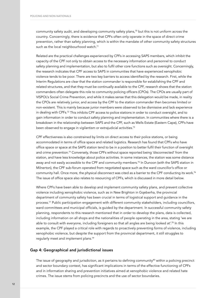community safety audit, and developing community safety plans,70 but this is not uniform across the country. Concerningly, there is evidence that CPFs often only operate in the space of direct crime prevention, rather than safety planning, which is within the mandate of other community safety structures such as the local neighbourhood watch.<sup>71</sup>

Related are the practical challenges experienced by CPFs in accessing SAPS members, which inhibit the capacity of the CPF not only to obtain access to the necessary information and personnel to conduct safety planning and implementation, but also to fulfil other core functions such as oversight. Concerningly, the research indicates that CPF access to SAPS in communities that have experienced xenophobic violence tends to be poor. There are two key barriers to access identified by the research. First, while the Interim Regulations are clear that the station commander is responsible for establishing the CPF and related structures, and that they must be continually available to the CPF, research shows that the station commanders often delegate this role to community policing officers (CPOs). The CPOs are usually part of VISPOL's Social Crime Prevention, and while it makes sense that this delegation would be made, in reality the CPOs are relatively junior, and access by the CPF to the station commander then becomes limited or non-existent. This is mainly because junior members were observed to be dismissive and lack experience in dealing with CPFs.72 This inhibits CPF access to police stations in order to conduct oversight, and to gain information in order to conduct safety planning and implementation. In communities where there is a breakdown in the relationship between SAPS and the CPF, such as Wells Estate (Eastern Cape), CPFs have been observed to engage in vigilantism or extrajudicial activities.<sup>73</sup>

CPF effectiveness is also constrained by limits on direct access to their police stations, or being accommodated in terms of office space and related logistics. Research has found that CPFs who have office space or space at the SAPS station tend to be in a position to better fulfil their function of oversight and crime prevention.<sup>74</sup> Conversely, those CPFs without space reported being 'disconnected' from the station, and have less knowledge about police activities. In some instances, the station was some distance away and not easily accessible to the CPF and community members.<sup>75</sup> In Dunoon (with the SAPS station in Milnerton), the CPF sub-forum operated from negotiated space such as the ward councillor's office or community hall. Once more, the physical disconnect was cited as a barrier to the CPF conducting its work.<sup>76</sup> The issue of office space also relates to resourcing of CPFs, which is discussed in more detail below.

Where CPFs have been able to develop and implement community safety plans, and prevent collective violence including xenophobic violence, such as in New Brighton in Gqeberha, the provincial department of community safety has been crucial in terms of logistical support and guidance in the process.<sup>77</sup> Public participation engagement with different community stakeholders, including councillors, ward committees and municipal officials, is guided by the department. In successful community safety planning, respondents to this research mentioned that in order to develop the plans, data is collected, including information on all shops and the nationalities of people operating in the area, stating 'we are able to consult with everyone, including foreigners so that all angles are being looked at'.<sup>78</sup> In this example, the CPF played a critical role with regards to proactively preventing forms of violence, including xenophobic violence, but despite the support from the provincial department, it still struggles to regularly meet and implement plans.79

#### Gap 4: Geographical and jurisdictional issues

The issue of geography and jurisdiction, as it pertains to defining community $80$  within a policing precinct and sector boundary context, has significant implications in terms of the effective functioning of CPFs and in information sharing and prevention initiatives aimed at xenophobic violence and related hate crimes. The issue stems from policing precincts and the use of sector boundaries.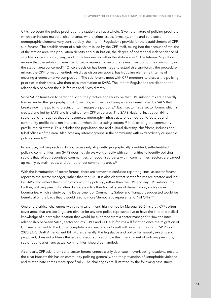CPFs represent the police precinct of the station area as a whole. Given the nature of policing precincts – which can include multiple, distinct areas where crime issues, formality, crime and core sociodemographic elements vary considerably–the Interim Regulations provide for the establishment of CPF sub-forums. The establishment of a sub-forum is led by the CPF itself, taking into the account of the size of the station area, the population density and distribution, the degree of operational independence of satellite police stations (if any), and crime tendencies within the station area.<sup>81</sup> The Interim Regulations require that the sub-forum must be 'broadly representative of the relevant section of the community in the station area concerned'.<sup>82</sup> Once a decision has been made to establish a sub-forum, the procedure mirrors the CPF formation entirely which, as discussed above, has troubling elements in terms of ensuring a representative composition. The sub-forums meet with CPF members to discuss the policing priorities in their areas, who then pass information to SAPS. The Interim Regulations are silent on the relationship between the sub-forums and SAPS directly.

Since SAPS' transition to sector policing, the practice appears to be that CPF sub-forums are generally formed under the geography of SAPS sectors, with sectors being an area demarcated by SAPS that breaks down the policing precinct into manageable portions.<sup>83</sup> Each sector has a sector forum, which is created and led by SAPS and is distinct from CPF structures. The SAPS National Instruction (NI) on sector policing requires that the resources, geography, infrastructure, demographic features and community profile be taken into account when demarcating sectors.<sup>84</sup> In describing the community profile, the NI states: 'This includes the population size and cultural diversity (chiefdoms, indunas and tribal offices) of the area. Also note any interest groups in the community with extraordinary or specific policing needs.'85

In practice, policing sectors do not necessarily align with geographically identified, self-identified policing communities, and SAPS does not always work directly with communities to identify policing sectors that reflect recognised communities, or recognised parts within communities. Sectors are carved up mainly by main roads, and do not reflect community areas.<sup>86</sup>

With the introduction of sector forums, there are somewhat confused reporting lines, as sector forums report to the sector manager, rather than the CPF. It is also clear that sector forums are created and led by SAPS, and reflect their vision of community policing, rather than the CPF and any CPF sub-forums. Further, policing precincts often do not align to other formal types of demarcation, such as ward boundaries, which a study by the Department of Community Safety and Transport suggested would be beneficial on the basis that it would lead to more 'democratic representation' of CPFs.<sup>87</sup>

One of the critical challenges with this misalignment, highlighted by Maroga (2013), is that 'CPFs often cover areas that are too large and diverse for any one police representative to have the kind of detailed knowledge of a particular location that would be expected from a sector manager'.<sup>88</sup> How the interrelationship between SAPS, sector forums, CPFs and CPF sub-forums will function once the migration of CPF management to the CSP is complete is unclear, and not dealt with in either the draft CSP Policy or 2020 SAPS Draft Amendment Bill. More generally, the legislative and policy framework, existing and proposed, does not address the issue of geography and how the misalignment of policing precincts, sector boundaries, and actual communities, should be handled.

As a result, CPF sub-forums and sector forums unnecessarily duplicate in overlapping locations, despite the clear impacts this has on community policing generally, and the prevention of xenophobic violence and related hate crimes more specifically. The challenges are illustrated by the following case study.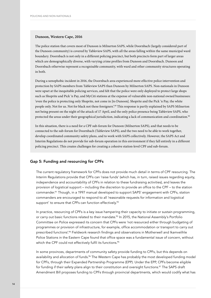#### **Dunoon, Western Cape, 2016**

The police station that covers most of Dunoon is Milnerton SAPS, while Doornbach (largely considered part of the Dunoon community) is covered by Tableview SAPS, with all the areas falling within the same municipal ward boundary. Doornbach is not only in a different policing precinct, but both precincts form part of larger areas which are demographically diverse, with varying crime profiles from Dunoon and Doornbach. Dunoon and Doornbach otherwise represent a recognisable community, with ward and other community structures operating in both.

During a xenophobic incident in 2016, the Doornbach area experienced more effective police intervention and protection by SAPS members from Tableview SAPS than Dunoon by Milnerton SAPS. Non-nationals in Dunoon were upset at the inequitable policing services, and felt that the police were only deployed to protect large shops such as Shoprite and Pick 'n Pay, and MyCiti stations at the expense of vulnerable non-national owned businesses: 'even the police is protecting only Shoprite, not come in [to Dunoon]. Shoprite and the Pick 'n Pay, the white people only. Not for us. Not for black not these foreigners'.<sup>89</sup> This response is partly explained by SAPS Milnerton not being present on the night of the attack of 17 April, and the only police presence being Tableview SAPS, who protected the areas under their geographical jurisdiction, indicating a lack of communication and coordination.<sup>90</sup>

In this situation, there is a need for a CPF sub-forum for Dunoon (Milnerton SAPS), and that needs to be connected to the sub-forum for Doornbach (Tableview SAPS), and the two need to be able to work together, develop coordinated community safety plans, and to work with SAPS collectively. However, the SAPS Act and Interim Regulations do not provide for sub-forum operation in this environment if they fall entirely in a different policing precinct. This creates challenges for creating a cohesive station-level CPF and sub-forum.

#### Gap 5: Funding and resourcing for CPFs

The current regulatory framework for CPFs does not provide much detail in terms of CPF resourcing. The Interim Regulations provide that CPFs can 'raise funds' (which has, in turn, raised issues regarding equity, independence and accountability of CPFs in relation to these fundraising activities), and leaves the provision of logistical support – including the discretion to provide an office to the CPF – to the station commander.91 Though, in a 1997 manual developed to support SAPS' engagement with CPFs, station commanders are encouraged to respond to all 'reasonable requests for information and logistical support' to ensure that CPFs can function effectively.<sup>92</sup>

In practice, resourcing of CPFs is a key issue hampering their capacity to initiate or sustain programming, or carry out basic functions related to their mandate.<sup>93</sup> In 2015, the National Assembly's Portfolio Committee on Police expressed its concern that CPFs were 'not resourced either through budgeting of programmes or provision of infrastructure, for example, office accommodation or transport to carry out prescribed functions'.94 Fieldwork research findings and observations in Motherwell and Ikamvelihle Police Stations in the Eastern Cape found that office space was a fundamental issue of concern, without which the CPF could not effectively fulfil its functions.<sup>95</sup>

In some provinces, departments of community safety provide funding to CPFs, but this depends on availability and allocation of funds.<sup>96</sup> The Western Cape has probably the most developed funding model for CPFs, through their Expanded Partnership Programme (EPP). Under the EPP, CPFs become eligible for funding if their safety plans align to their constitution and oversight functions.<sup>97</sup> The SAPS draft Amendment Bill proposes funding to CPFs through provincial departments, which would codify what has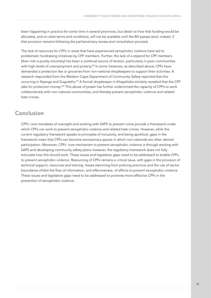been happening in practice for some time in several provinces, but detail on how that funding would be allocated, and on what terms and conditions, will not be available until the Bill passes (and, indeed, if that provision remains following the parliamentary review and consultation process).

The lack of resources for CPFs in areas that have experienced xenophobic violence have led to problematic fundraising initiatives by CPF members. Further, the lack of a stipend for CPF members (their role is purely voluntary) has been a continual source of tension, particularly in poor communities with high levels of unemployment and poverty.<sup>98</sup> In some instances, as described above, CPFs have demanded a protection fee or groceries from non-national shopkeepers to support their activities. A research responded from the Western Cape Department of Community Safety reported that this occurring in Nyanga and Gugulethu.<sup>99</sup> A Somali shopkeeper in Khayelitsha similarly revealed that the CPF asks for protection money.<sup>100</sup> This abuse of power has further undermined the capacity of CPFs to work collaboratively with non-national communities, and thereby prevent xenophobic violence and related hate crimes.

# Conclusion

CPFs' core mandates of oversight and working with SAPS to prevent crime provide a framework under which CPFs can work to prevent xenophobic violence and related hate crimes. However, while the current regulatory framework speaks to principles of inclusivity, and being apolitical, gaps in the framework mean that CPFs can become exclusionary spaces in which non-nationals are often denied participation. Moreover, CPFs' core mechanism to prevent xenophobic violence is through working with SAPS and developing community safety plans–however, the regulatory framework does not fully articulate how this should work. These issues and legislative gaps need to be addressed to enable CPFs to prevent xenophobic violence. Resourcing of CPFs remains a critical issue, with gaps in the provision of technical support, resources and training. Issues stemming from policing precincts and the use of sector boundaries inhibit the flow of information, and effectiveness, of efforts to prevent xenophobic violence. These issues and legislative gaps need to be addressed to promote more effective CPFs in the prevention of xenophobic violence.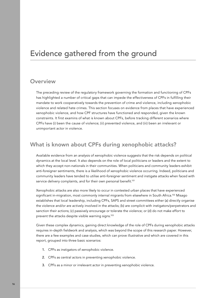# Evidence gathered from the ground

### **Overview**

The preceding review of the regulatory framework governing the formation and functioning of CPFs has highlighted a number of critical gaps that can impede the effectiveness of CPFs in fulfilling their mandate to work cooperatively towards the prevention of crime and violence, including xenophobic violence and related hate crimes. This section focuses on evidence from places that have experienced xenophobic violence, and how CPF structures have functioned and responded, given the known constraints. It first examins of what is known about CPFs, before tracking different scenarios where CPFs have (i) been the cause of violence; (ii) prevented violence, and (iii) been an irrelevant or unimportant actor in violence.

# What is known about CPFs during xenophobic attacks?

Available evidence from an analysis of xenophobic violence suggests that the risk depends on political dynamics at the local level. It also depends on the role of local politicians or leaders and the extent to which they accept non-nationals in their communities. When politicians and community leaders exhibit anti-foreigner sentiments, there is a likelihood of xenophobic violence occurring. Indeed, politicians and community leaders have tended to utilise anti-foreigner sentiment and instigate attacks when faced with service delivery complaints, and for their own personal benefit.<sup>101</sup>

Xenophobic attacks are also more likely to occur in contested urban places that have experienced significant in-migration, most commonly internal migrants from elsewhere in South Africa.<sup>102</sup> Misago establishes that local leadership, including CPFs, SAPS and street committees either (a) directly organise the violence and/or are actively involved in the attacks; (b) are complicit with instigators/perpetrators and sanction their actions; (c) passively encourage or tolerate the violence; or (d) do not make effort to prevent the attacks despite visible warning signs.103

Given these complex dynamics, gaining direct knowledge of the role of CPFs during xenophobic attacks requires in-depth fieldwork and analysis, which was beyond the scope of this research paper. However, there are a few examples and case studies, which can prove illustrative and which are covered in this report, grouped into three basic scenarios:

- 1. CPFs as instigators of xenophobic violence.
- 2. CPFs as central actors in preventing xenophobic violence.
- 3. CPFs as a minor or irrelevant actor in preventing xenophobic violence.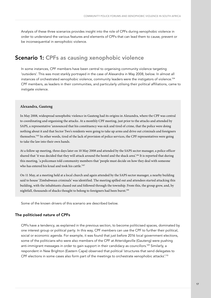Analysis of these three scenarios provides insight into the role of CPFs during xenophobic violence in order to understand the various features and elements of CPFs that can lead them to cause, prevent or be inconsequential in xenophobic violence.

# Scenario 1: CPFs as causing xenophobic violence

In some instances, CPF members have been central to organising community violence targeting 'outsiders'. This was most starkly portrayed in the case of Alexandra in May 2008, below. In almost all instances of orchestrated xenophobic violence, community leaders were the instigators of violence.104 CPF members, as leaders in their communities, and particularly utilising their political affiliations, came to instigate violence.

#### **Alexandra, Gauteng**

In May 2008, widespread xenophobic violence in Gauteng had its origins in Alexandra, where the CPF was central to coordinating and organising the attacks. At a monthly CPF meeting, just prior to the attacks and attended by SAPS, a representative 'announced that his constituency was sick and tired of crime, that the police were doing nothing about it and that Sector Two's residents were going to take up arms and drive out criminals and foreigners themselves.'105 In other words, tired of the lack of provision of police services, the CPF representatives were going to take the law into their own hands.

At a follow up meeting, three days later on 10 May 2008 and attended by the SAPS sector manager, a police officer shared that 'it was decided that they will attack around the hostel and the shack area'.106 It is reported that during this meeting, 'a policeman told community members that 'people must decide on how they deal with someone who has entered his kraal and took his cattle.<sup>'107</sup>

On 11 May, at a meeting held at a local church and again attended by the SAPS sector manager, a nearby building said to house 'Zimbabwean criminals' was identified. The meeting spilled out and attendees started attacking this building, with the inhabitants chased out and followed through the township. From this, the group grew, and, by nightfall, thousands of shacks thought to belong to foreigners had been burnt.<sup>108</sup>

Some of the known drivers of this scenario are described below.

#### The politicised nature of CPFs

CPFs have a tendency, as explained in the previous section, to become politicised spaces, dominated by one interest group or political party. In this way, CPF members can use the CPF to further their political, social or economic agenda. For example, it was found that just before 2016 local government elections, some of the politicians who were also members of the CPF at Atteridgeville (Gauteng) were pushing anti-immigrant messages in order to gain support in their candidacy as councillors.<sup>109</sup> Similarly, a respondent in New Brighton (Eastern Cape) observed that political 'structures that send delegates to CPF elections in some cases also form part of the meetings to orchestrate xenophobic attacks'.<sup>110</sup>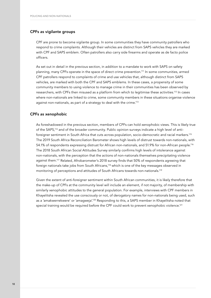#### CPFs as vigilante groups

CPF are prone to become vigilante group. In some communities they have community patrollers who respond to crime complaints. Although their vehicles are distinct from SAPS vehicles they are marked with CPF and SAPS emblem. Often patrollers also carry side firearms and operate as de facto police officers.

As set out in detail in the previous section, in addition to a mandate to work with SAPS on safety planning, many CPFs operate in the space of direct crime prevention.111 In some communities, armed CPF patrollers respond to complaints of crime and use vehicles that, although distinct from SAPS vehicles, are marked with both the CPF and SAPS emblems. In these cases, a propensity of some community members to using violence to manage crime in their communities has been observed by researchers, with CPFs then misused as a platform from which to legitimise these activities.112 In cases where non-nationals are linked to crime, some community members in these situations organise violence against non-nationals, as part of a strategy to deal with the crime.<sup>113</sup>

#### CPFs as xenophobic

As foreshadowed in the previous section, members of CPFs can hold xenophobic views. This is likely true of the SAPS,114 and of the broader community. Public opinion surveys indicate a high level of antiforeigner sentiment in South Africa that cuts across population, socio-democratic and racial markers.115 The 2019 South Africa Reconciliation Barometer shows high levels of distrust towards non-nationals, with 54.1% of respondents expressing distrust for African non-nationals, and 51.9% for non-African people.<sup>116</sup> The 2018 South African Social Attitudes Survey similarly confirms high levels of intolerance against non-nationals, with the perception that the actions of non-nationals themselves precipitating violence against them.117 Related, Afrobarometer's 2018 survey finds that 50% of respondents agreeing that foreign nationals take jobs from South Africans,118 which is one of the key messages observed in monitoring of perceptions and attitudes of South Africans towards non-nationals.119

Given the extent of anti-foreigner sentiment within South African communities, it is likely therefore that the make-up of CPFs at the community level will include an element, if not majority, of membership with similarly xenophobic attitudes to the general population. For example, interviews with CPF members in Khayelitsha revealed the use consciously or not, of derogatory names for non-nationals being used, such as a 'amakwerrekwere' or 'amagweja'.<sup>120</sup> Responding to this, a SAPS member in Khayelitsha noted that special training would be required before the CPF could work to prevent xenophobic violence.<sup>121</sup>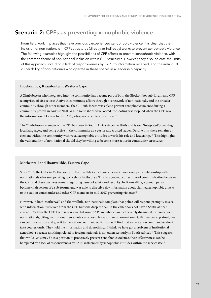# Scenario 2: CPFs as preventing xenophobic violence

From field work in places that have previously experienced xenophobic violence, it is clear that the inclusion of non-nationals in CPFs structures (directly or indirectly) works to prevent xenophobic violence. The following examples highlight the possibilities of CPF efforts to prevent xenophobic violence, with the common theme of non-national inclusion within CPF structures. However, they also indicate the limits of this approach, including a lack of responsiveness by SAPS to information received, and the individual vulnerability of non-nationals who operate in these spaces in a leadership capacity.

#### **Bloekombos, Kraaifontein, Western Cape**

A Zimbabwean who integrated into the community has become part of both the Bloekombos sub-forum and CPF (comprised of six sectors). Active in community affairs through his network of non-nationals, and the broader community through other members, the CPF sub-forum was able to prevent xenophobic violence during a community protest in August 2020. While some shops were looted, the looting was stopped when the CPF gave the information of looters to the SAPS, who proceeded to arrest them.<sup>122</sup>

The Zimbabwean member of the CPF has been in South Africa since the 1990s and is well 'integrated', speaking local languages, and being active in the community as a pastor and trusted leader. Despite this, there remains an element within the community with vocal xenophobic attitudes towards his role and leadership.123 This highlights the vulnerability of non-national should they be willing to become more active in community structures.

#### **Motherwell and Ikamvelihle, Eastern Cape**

Since 2015, the CPFs in Motherwell and Ikamvelihle (which are adjacent) have developed a relationship with non-nationals who are operating spaza shops in the area. This has created a direct line of communication between the CPF and these business owners regarding issues of safety and security. In Ikamvelihle, a Somali person became chairperson of a sub-forum, and was able to directly relay information about planned xenophobic attacks to the station commander and other CPF members in mid-2017, preventing violence.<sup>124</sup>

However, in both Motherwell and Ikamvelhile, non-nationals complain that police will respond promptly to a call with information if received from the CPF, but will 'drop the call' if the caller does not have a South African accent.125 Within the CPF, there is concern that some SAPS members have deliberately dismissed the concerns of non-nationals, citing institutional xenophobia as a possible reason. As a non-national CPF member explained, 'we can get information and give it to the station commander. But you will find that some station commanders don't take you seriously. They hold the information and do nothing…I think we have got a problem of institutional xenophobia because anything related to foreign nationals is not taken seriously in South Africa'.126 This suggests that while CPFs may be in a position to proactively prevent xenophobic violence, their effectiveness can be hampered by a lack of responsiveness by SAPS influenced by xenophobic attitudes within the service itself.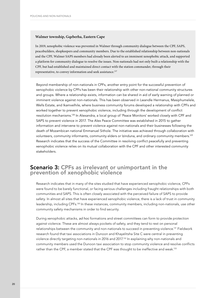#### **Walmer township, Gqeberha, Eastern Cape**

In 2019, xenophobic violence was prevented in Walmer through community dialogue between the CPF, SAPS, peacebuilders, shopkeepers and community members. Due to the established relationship between non-nationals and the CPF, Walmer SAPS members had already been alerted to an imminent xenophobic attack, and supported a platform for community dialogue to resolve the issues. Non-nationals had not only built a relationship with the CPF, but had established and maintained direct contact with the station commander, through their representative, to convey information and seek assistance.<sup>127</sup>

Beyond membership of non-nationals in CPFs, another entry point for the successful prevention of xenophobic violence by CPFs has been their relationship with other non-national community structures and groups. Where a relationship exists, information can be shared in aid of early warning of planned or imminent violence against non-nationals. This has been observed in Lwandle Hermanus, Masiphumelele, Wells Estate, and Ikamvelhile, where business community forums developed a relationship with CPFs and worked together to prevent xenophobic violence, including through the development of conflict resolution mechanisms.128 In Alexandra, a local group of 'Peace Monitors' worked closely with CPF and SAPS to prevent violence in 2017. The Alex Peace Committee was established in 2015 to gather information and intervene to prevent violence against non-nationals and their businesses following the death of Mozambican national Emmanuel Sithole. The initiative was achieved through collaboration with volunteers, community informants, community elders or Izinduna, and ordinary community members.129 Research indicates that the success of the Committee in resolving conflict peacefully and preventing xenophobic violence relies on its mutual collaboration with the CPF and other interested community stakeholders.

# Scenario 3: CPFs as irrelevant or unimportant in the prevention of xenophobic violence

Research indicates that in many of the sites studied that have experienced xenophobic violence, CPFs were found to be barely functional, or facing serious challenges including fraught relationships with both communities and SAPS. This is often closely associated with the perceived failure of SAPS to provide safety. In almost all sites that have experienced xenophobic violence, there is a lack of trust in community leadership, including CPFs.<sup>130</sup> In these instances, community members, including non-nationals, use other community safety mechanisms in order to find security.

During xenophobic attacks, *ad hoc* formations and street committees can form to provide protection against violence. These are almost always pockets of safety, and they tend to rest on personal relationships between the community and non-nationals to succeed in preventing violence.<sup>131</sup> Fieldwork research found that taxi associations in Dunoon and Khayelitsha Site C were central in preventing violence directly targeting non-nationals in 2016 and 2017.132 In explaining why non-nationals and community members used the Dunoon taxi association to stop community violence and resolve conflicts rather than the CPF, a member stated that the CPF was thought to be ineffective and weak.133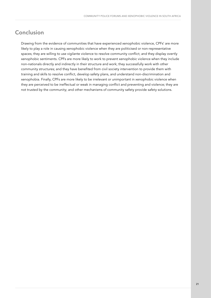# Conclusion

Drawing from the evidence of communities that have experienced xenophobic violence, CPFs' are more likely to play a role in causing xenophobic violence when they are politicised or non-representative spaces; they are willing to use vigilante violence to resolve community conflict; and they display overtly xenophobic sentiments. CPFs are more likely to work to prevent xenophobic violence when they include non-nationals directly and indirectly in their structure and work; they successfully work with other community structures; and they have benefited from civil society intervention to provide them with training and skills to resolve conflict, develop safety plans, and understand non-discrimination and xenophobia. Finally, CPFs are more likely to be irrelevant or unimportant in xenophobic violence when they are perceived to be ineffectual or weak in managing conflict and preventing and violence; they are not trusted by the community; and other mechanisms of community safety provide safety solutions.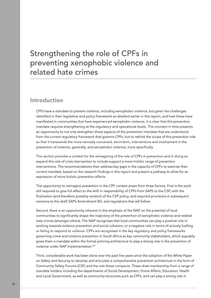# Strengthening the role of CPFs in preventing xenophobic violence and related hate crimes

### Introduction

CPFs have a mandate to prevent violence, including xenophobic violence, but given the challenges identified in their legislative and policy framework as detailed earlier in this report, and how these have manifested in communities that have experienced xenophobic violence, it is clear that this prevention mandate requires strengthening at the regulatory and operational levels. This moment in time presents an opportunity to not only strengthen those aspects of the prevention mandate that are understood from the current regulatory framework that governs CPFs, but to rethink the scope of this prevention role so that it transcends the more narrowly conceived, short-term, interventions and involvement in the prevention of violence, generally, and xenophobic violence, more specifically.

This section provides a context for the reimagining of the role of CPFs in prevention and in doing so expand this role of crisis intervention to include support a more holistic range of prevention interventions. The recommendations then address key gaps in the capacity of CPFs to exercise their current mandate, based on the research findings in this report and present a pathway to allow for an expression of more holistic prevention efforts.

The opportunity to reimagine prevention in the CPF context arises from three factors. First is the work still required to give full effect to the shift in responsibility of CPFs from SAPS to the CSP, with the finalisation (and therefore possibly revision) of the CSP policy, and required provisions in subsequent revisions to the draft SAPS Amendment Bill, and regulations that will follow.

Second, there is an opportunity inherent in the emphasis of the NAP on the potential of local communities to significantly shape the trajectory of the prevention of xenophobic violence and related hate crimes (amongst others). The NAP recognises that local communities can play a positive role in working towards violence prevention and social cohesion, or a negative role in terms of actively fuelling or failing to respond to violence. CPFs are recognised in the key regulatory and policy frameworks governing crime and violence prevention in South Africa as key community stakeholders, which arguably gives them a mandate within the formal policing architecture to play a strong role in the prevention of violence under NAP implementation.134

Third, considerable work has been done over the past five years since the adoption of the White Paper on Safety and Security to develop and articulate a comprehensive prevention architecture in the form of Community Safety Forums (CSF) and the role these compacts. These draw membership from a range of mandate holders including the departments of Social Development, Home Affairs, Education, Health and Local Government, as well as community structures such as CPFs, and can play a strong role in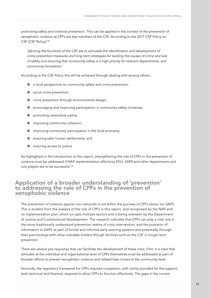promoting safety and violence prevention. This can be applied in the context of the prevention of xenophobic violence as CPFs are key members of the CSF. According to the 2017 CSP Policy on CSF (CSF Policy):135

'[a]mong the functions of the CSF are to stimulate the identification and development of *crime prevention measures and long term strategies for tackling the causes of crime and lack of safety and ensuring that community safety is a high priority for relevant departments, and community formations.'*

According to the CSF Policy this will be achieved through dealing with among others:

- $\blacksquare$  a local perspective on community safety and crime prevention;
- social crime prevention;
- crime prevention through environmental design;
- $\blacksquare$  encouraging and improving participation in community safety initiatives;
- promoting restorative justice;
- improving community cohesion;
- $\blacksquare$  improving community participation in the local economy;
- ensuring safer human settlements; and
- ensuring access to justice.

As highlighted in the introduction to this report, strengthening the role of CPFs in the prevention of violence must be addressed if NAP implementation efforts by DOJ, SAPS and other departments and role players are to be successful.136

### Application of a broader understanding of 'prevention' to addressing the role of CPFs in the prevention of xenophobic violence

The prevention of violence against non-nationals is not within the purview of CPFs alone, nor SAPS. This is evident from the analysis of the role of CPFs in this report, and recognised by the NAP and its implementation plan, which co-opts multiple sectors and is being overseen by the Department of Justice and Constitutional Development. The research indicates that CPFs can play a vital role in the more traditionally understood prevention realms of crisis intervention, and the provision of information to SAPS as part of formal and informal early warning systems and potentially through their partnerships with other mandate holders though facilities such as the CSF in longer term prevention.

There are several pre-requisites that can facilitate the development of these roles. First, it is clear that attitudes at the individual and organisational level of CPFs themselves must be addressed as part of broader efforts to prevent xenophobic violence and related hate crimes at the community level.

Secondly, the regulatory framework for CPFs requires completion, with clarity provided for the support, both technical and financial, required to allow CPFs to function effectively. The gaps in the current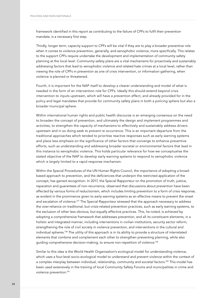framework identified in this report as contributing to the failure of CPFs to fulfil their prevention mandate, is a necessary first step.

Thirdly, longer term, capacity support to CPFs will be vital if they are to play a broader preventive role when it comes to violence prevention, generally, and xenophobic violence, more specifically. This relates to the support CPFs require undertake the development and implementation of community safety planning at the local level. Community safety plans are a vital mechanisms for proactively and sustainably addressing factors that lead to xenophobic violence and related hate crimes at a local level, rather than viewing the role of CPFs in prevention as one of crisis intervention, or information gathering, when violence is planned or threatened.

Fourth, it is important for the NAP itself to develop a clearer understanding and model of what is needed in the form of an intervention role for CPFs. Ideally this should extend beyond crisis intervention to inputs upstream, which will have a prevention effect, and already provided for in the policy and legal mandates that provide for community safety plans in both a policing sphere but also a broader municipal sphere.

Within international human rights and public health discourse is an emerging consensus on the need to broaden the concept of prevention, and ultimately the design and implement programmes and activities, to strengthen the capacity of mechanisms to effectively and sustainably address drivers upstream and in so doing seek to prevent re occurrence. This is an important departure from the traditional approaches which tended to prioritise reactive responses such as early warning systems and place less emphasis on the significance of other factors that converge to enhance preventive efforts, such as understanding and addressing broader societal or environmental factors that lead in this instance to xenophobic violence. This holds particular relevance for how we conceptualise the stated objective of the NAP to develop early warning systems to respond to xenophobic violence which is largely limited to a rapid response mechanism.

Within the Special Procedures of the UN Human Rights Council, the importance of adopting a broadbased approach to prevention, and the deficiencies that underpin the restricted application of the concept, has gained recognition. In 2017, the Special Rapporteur on the promotion of truth, justice, reparation and guarantees of non-recurrence, observed that discussions about prevention have been affected by various forms of reductionism, which includes limiting prevention to a form of crisis response, as evident in the prominence given to early warning systems as an effective means to prevent the onset and escalation of violence.137 The Special Rapporteur stressed that the approach necessary to address the over-reliance on traditional, but crisis-related prevention practices, such as early warning systems, to the exclusion of other less obvious, but equally effective practices. This, he noted, is achieved by adopting a comprehensive framework that addresses prevention, and all its constituent elements, in a holistic and integrated manner, including interventions in civilian institutions, security sector reform, strengthening the role of civil society in violence prevention, and interventions in the cultural and individual spheres.138 The utility of this approach is in its ability to provide a structure of interrelated elements that combine and complement each other to strengthen preventing planning, while also guiding comprehensive decision-making, to ensure non-repetition of violence.<sup>139</sup>

Similar to this idea is the World Health Organisation's ecological model for understanding violence, which uses a four-level socio-ecological model to understand and prevent violence within the context of a complex interplay between individual, relationship, community and societal factors.140 This model has been used extensively in the training of local Community Safety Forums and municipalities in crime and violence prevention.141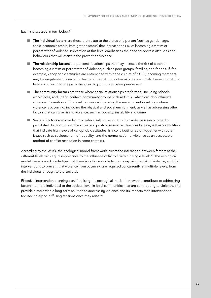Each is discussed in turn below.142

- $\blacksquare$  The individual factors are those that relate to the status of a person (such as gender, age, socio-economic status, immigration status) that increase the risk of becoming a victim or perpetrator of violence. Prevention at this level emphasises the need to address attitudes and behaviours that will assist in the prevention violence.
- The relationship factors are personal relationships that may increase the risk of a person becoming a victim or perpetrator of violence, such as peer groups, families, and friends. If, for example, xenophobic attitudes are entrenched within the culture of a CPF, incoming members may be negatively influenced in terms of their attitudes towards non-nationals. Prevention at this level could include programs designed to promote positive peer norms.
- The community factors are those where social relationships are formed, including schools, workplaces, and, in this context, community groups such as CPFs , which can also influence violence. Prevention at this level focuses on improving the environment in settings where violence is occurring, including the physical and social environment, as well as addressing other factors that can give rise to violence, such as poverty, instability and crime.
- Societal factors are broader, macro-level influences on whether violence is encouraged or prohibited. In this context, the social and political norms, as described above, within South Africa that indicate high levels of xenophobic attitudes, is a contributing factor, together with other issues such as socioeconomic inequality, and the normalisation of violence as an acceptable method of conflict resolution in some contexts.

According to the WHO, the ecological model framework 'treats the interaction between factors at the different levels with equal importance to the influence of factors within a single level'.<sup>143</sup> The ecological model therefore acknowledges that there is not one single factor to explain the risk of violence, and that interventions to prevent that violence from occurring are required concurrently at multiple levels: from the individual through to the societal.

Effective intervention planning can, if utilising the ecological model framework, contribute to addressing factors from the individual to the societal level in local communities that are contributing to violence, and provide a more viable long-term solution to addressing violence and its impacts than interventions focused solely on diffusing tensions once they arise.<sup>144</sup>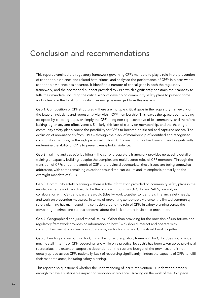# Conclusion and recommendations

This report examined the regulatory framework governing CPFs mandate to play a role in the prevention of xenophobic violence and related hate crimes, and analysed the performance of CPFs in places where xenophobic violence has occurred. It identified a number of critical gaps in both the regulatory framework, and the operational support provided to CPFs which significantly constrain their capacity to fulfil their mandate, including the critical work of developing community safety plans to prevent crime and violence in the local community. Five key gaps emerged from this analysis:

Gap 1: Composition of CPF structures – There are multiple critical gaps in the regulatory framework on the issue of inclusivity and representativity within CPF membership. This leaves the space open to being co-opted by certain groups, or simply the CPF being non-representative of its community, and therefore lacking legitimacy and effectiveness. Similarly, this lack of clarity on membership, and the shaping of community safety plans, opens the possibility for CPFs to become politicised and captured spaces. The exclusion of non-nationals from CPFs – through their lack of membership of identified and recognised community structures, or through provincial uniform CPF constitutions – has been shown to significantly undermine the ability of CPFs to prevent xenophobic violence.

Gap 2: Training and capacity building – The current regulatory framework provides no specific detail on training or capacity building, despite the complex and multifaceted roles of CPF members. Through the transition of CPFs under the ambit of CSP and provincial secretariats, these issues are being somewhat addressed, with some remaining questions around the curriculum and its emphasis primarily on the oversight mandate of CPFs.

Gap 3: Community safety planning – There is little information provided on community safety plans in the regulatory framework, which would be the process through which CPFs and SAPS, possibly in collaboration with CSFs and partners would (ideally) work together to identify crime and safety needs, and work on prevention measures. In terms of preventing xenophobic violence, the limited community safety planning has manifested in a confusion around the role of CPFs in safety planning versus the combating of crime, and serious concerns about the lack of effort in violence prevention.

Gap 4: Geographical and jurisdictional issues – Other than providing for the provision of sub-forums, the regulatory framework provides no information on how SAPS should interact and operate with communities, and it is unclear how sub-forums, sector forums, and CPFs should work together.

Gap 5: Funding and resourcing for CPFs – The current regulatory framework for CPFs does not provide much detail in terms of CPF resourcing, and while on a practical level, this has been taken up by provincial secretariats, the extent of support is dependent on the size and budget of the province, and is not equally spread across CPFs nationally. Lack of resourcing significantly hinders the capacity of CPFs to fulfil their mandate areas, including safety planning.

This report also questioned whether the understanding of 'early intervention' is understood broadly enough to have a sustainable impact on xenophobic violence. Drawing on the work of the UN Special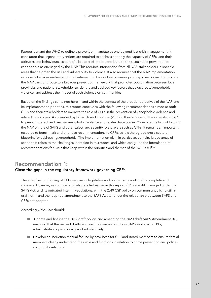Rapporteur and the WHO to define a prevention mandate as one beyond just crisis management, it concluded that urgent interventions are required to address not only the capacity of CPFs, and their attitudes and behaviours, as part of a broader effort to contribute to the sustainable prevention of xenophobia as envisaged by the NAP. This requires intervention from all NAP stakeholders in specific areas that heighten the risk and vulnerability to violence. It also requires that the NAP implementation includes a broader understanding of intervention beyond early warning and rapid response. In doing so, the NAP can contribute to a broader prevention framework that promotes coordination between local provincial and national stakeholder to identify and address key factors that exacerbate xenophobic violence, and address the impact of such violence on communities.

Based on the findings contained herein, and within the context of the broader objectives of the NAP and its implementation priorities, this report concludes with the following recommendations aimed at both CPFs and their stakeholders to improve the role of CPFs in the prevention of xenophobic violence and related hate crimes. As observed by Edwards and Freeman (2021) in their analysis of the capacity of SAPS to prevent, detect and resolve xenophobic violence and related hate crimes,<sup>145</sup> despite the lack of focus in the NAP on role of SAPS and other safety and security role players such as CPFs, it remains an important resource to benchmark and prioritise recommendations to CPFs, as it is the agreed cross-sectoral blueprint for addressing xenophobia. The implementation plan, in particular, contains broad areas of action that relate to the challenges identified in this report, and which can guide the formulation of recommendations for CPFs that keep within the priorities and themes of the NAP itself.146

### Recommendation 1: Close the gaps in the regulatory framework governing CPFs

The effective functioning of CPFs requires a legislative and policy framework that is complete and cohesive. However, as comprehensively detailed earlier in this report, CPFs are still managed under the SAPS Act, and its outdated Interim Regulations, with the 2019 CSP policy on community policing still in draft form, and the required amendment to the SAPS Act to reflect the relationship between SAPS and CPFs not adopted.

Accordingly, the CSP should:

- Update and finalise the 2019 draft policy, and amending the 2020 draft SAPS Amendment Bill, ensuring that the revised drafts address the core issue of how SAPS works with CPFs, administrative, operationally and substantively.
- Develop an induction manual for use by provinces for CPF and Board members to ensure that all members clearly understand their role and functions in relation to crime prevention and policecommunity relations.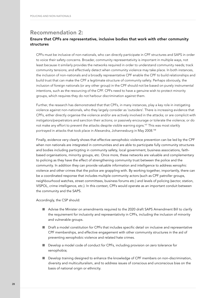### Recommendation 2:

#### Ensure that CPFs are representative, inclusive bodies that work with other community structures

CPFs must be inclusive of non-nationals, who can directly participate in CPF structures and SAPS in order to voice their safety concerns. Broader, community representativity is important in multiple ways, not least because it similarly provides the networks required in order to understand community needs; track community tensions; and effectively detect when community violence may take place. In both instances, the inclusion of non-nationals and a broadly representative CPF enable the CPF to build relationships and build trust that can make the CPF a legitimate structure of community safety. Perhaps obviously, the inclusion of foreign nationals (or any other group) in the CPF should not be based on purely instrumental intentions, such as the resourcing of the CPF. CPFs need to have a genuine wish to protect minority groups, which requires they do not harbour discrimination against them.

Further, the research has demonstrated that that CPFs, in many instances, play a key role in instigating violence against non-nationals, who they largely consider as 'outsiders'. There is increasing evidence that CPFs, either directly organise the violence and/or are actively involved in the attacks; or are complicit with instigators/perpetrators and sanction their actions; or passively encourage or tolerate the violence; or do not make any effort to prevent the attacks despite visible warning signs.<sup>147</sup> This was most starkly portrayed in attacks that took place in Alexandra, Johannesburg in May 2008.148

Finally, evidence very clearly shows that effective xenophobic violence prevention can be led by the CPF when non nationals are integrated in communities and are able to participate fully community structures and bodies including particpting in community safety, local government, business associations, faithbased organisations, minority groups, etc. Once more, these networks are valuable and complementary to policing as they have the effect of strengthening community trust between the police and the community. In addition they can provide valuable information and intelligence to address xenophic violence and other crimes that the police are grappling with. By working together, importantly, there can be a coordinated response that includes multiple community actors (such as CPF patroller groups, neighbourhood watches, street committees, business forums etc.) and levels of policing (sector, station, VISPOL, crime intelligence, etc.). In this context, CPFs would operate as an important conduit between the community and the SAPS.

Accordingly, the CSP should:

- Advise the Minister on amendments required to the 2020 draft SAPS Amendment Bill to clarify the requirement for inclusivity and representativity in CPFs, including the inclusion of minority and vulnerable groups.
- Draft a model constitution for CPFs that includes specific detail on inclusive and representative CPF memberships, and effective engagement with other community structures in the aid of preventing xenophobic violence and related hate crimes.
- Develop a model code of conduct for CPFs, including provision on zero tolerance for xenophobia;
- Develop training designed to enhance the knowledge of CPF members on non-discrimination, diversity and multiculturalism, and to address issues of conscious and unconscious bias on the basis of national origin or ethnicity.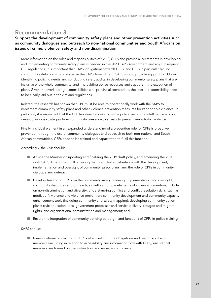# Recommendation 3:

#### Support the development of community safety plans and other prevention activities such as community dialogues and outreach to non-national communities and South Africans on issues of crime, violence, safety and non-discrimination

More information on the roles and responsibilities of SAPS, CPFs and provincial secretariats in developing and implementing community safety plans is needed in the 2020 SAPS Amendment and any subsequent CPF regulations. It is important that SAPS' obligations towards CPFs, and CSFs in particular around community safety plans, is provided in the SAPS Amendment. SAPS should provide support to CPFs in identifying policing needs and conducting safety audits; in developing community safety plans that are inclusive of the whole community; and in providing police resources and support in the execution of plans. Given the overlapping responsibilities with provincial secretariats, the lines of responsibility need to be clearly laid out in the Act and regulations.

Related, the research has shown that CPF must be able to operationally work with the SAPS to implement community safety plans and other violence prevention measures for xenophobic violence. In particular, it is important that the CPF has direct access to visible police and crime intelligence who can develop various strategies from community presence to arrests to prevent xenophobic violence.

Finally, a critical element in an expanded understanding of a prevention role for CPFs is proactive prevention through the use of community dialogues and outreach to both non-national and South African communities. CPFs need to be trained and capacitated to fulfil this function.

Accordingly, the CSP should:

- Advise the Minister on updating and finalising the 2019 draft policy, and amending the 2020 draft SAPS Amendment Bill, ensuring that both deal substantively with the development, implementation and oversight of community safety plans, and the role of CPFs in community dialogue and outreach.
- Develop training for CPFs on the community safety planning, implementation and oversight, community dialogues and outreach, as well as multiple elements of violence prevention, include on non-discrimination and diversity; understanding conflict and conflict resolution skills (such as mediation); violence and violence prevention; community development and community capacity enhancement tools (including community and safety mapping); developing community action plans; civic education; local government processes and service delivery; refugee and migrant rights; and organisational administration and management; and
- Ensure the integration of community policing paradigm and functions of CPFs in police training;

SAPS should:

■ Issue a national instruction on CPFs which sets out the obligations and responsibilities of members (including in relation to accessibility and information flow with CPFs), ensure that members are trained on the instruction, and monitor compliance.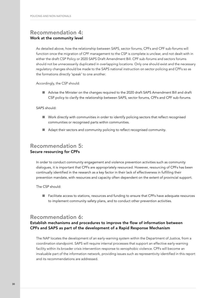### Recommendation 4: Work at the community level

As detailed above, how the relationship between SAPS, sector forums, CPFs and CPF sub-forums will function once the migration of CPF management to the CSP is complete is unclear, and not dealt with in either the draft CSP Policy or 2020 SAPS Draft Amendment Bill. CPF sub-forums and sectors forums should not be unnecessarily duplicated in overlapping locations. Only one should exist and the necessary regulatory changes should be made to the SAPS national instruction on sector policing and CPFs so as the formations directly 'speak' to one another.

Accordingly, the CSP should:

■ Advise the Minister on the changes required to the 2020 draft SAPS Amendment Bill and draft CSP policy to clarify the relationship between SAPS, sector forums, CPFs and CPF sub-forums.

SAPS should:

- Work directly with communities in order to identify policing sectors that reflect recognised communities or recognised parts within communities.
- Adapt their sectors and community policing to reflect recognised community.

### Recommendation 5: Secure resourcing for CPFs

In order to conduct community engagement and violence prevention activities such as community dialogues, it is important that CPFs are appropriately resourced. However, resourcing of CPFs has been continually identified in the research as a key factor in their lack of effectiveness in fulfilling their prevention mandate, with resources and capacity often dependent on the extent of provincial support.

The CSP should:

■ Facilitate access to stations, resources and funding to ensure that CPFs have adequate resources to implement community safety plans, and to conduct other prevention activities.

### Recommendation 6:

#### Establish mechanisms and procedures to improve the flow of information between CPFs and SAPS as part of the development of a Rapid Response Mechanism

The NAP locates the development of an early-warning system within the Department of Justice, from a coordination standpoint. SAPS will require internal processes that support an effective early-warning facility within its broader crisis intervention response to xenophobic violence. CPFs will become an invaluable part of the information network, providing issues such as representivity identified in this report and its recommendations are addressed.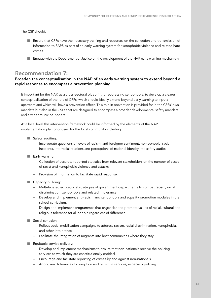The CSP should:

- Ensure that CPFs have the necessary training and resources on the collection and transmission of information to SAPS as part of an early-warning system for xenophobic violence and related hate crimes.
- Engage with the Department of Justice on the development of the NAP early warning mechanism.

# Recommendation 7:

#### Broaden the conceptualisation in the NAP of an early warning system to extend beyond a rapid response to encompass a prevention planning

It important for the NAP, as a cross-sectoral blueprint for addressing xenophobia, to develop a clearer conceptualisation of the role of CPFs, which should ideally extend beyond early warning to inputs upstream and which will have a prevention effect. This role in prevention is provided for in the CPFs' own mandate but also in the CSFs that are designed to encompass a broader developmental safety mandate and a wider municipal sphere.

At a local level this intervention framework could be informed by the elements of the NAP implementation plan prioritised for the local community including:

- Safety auditing:
	- Incorporate questions of levels of racism, anti-foreigner sentiment, homophobia, racial incidents, interracial relations and perceptions of national identity into safety audits.
- **■** Early warning:
	- Collection of accurate reported statistics from relevant stakeholders on the number of cases of racist and xenophobic violence and attacks.
	- Provision of information to facilitate rapid response.
- Capacity building:
	- Multi-faceted educational strategies of government departments to combat racism, racial discrimination, xenophobia and related intolerance.
	- Develop and implement anti-racism and xenophobia and equality promotion modules in the school curriculum.
	- Design and implement programmes that engender and promote values of racial, cultural and religious tolerance for all people regardless of difference.
- ཝ Social cohesion:
	- Rollout social mobilisation campaigns to address racism, racial discrimination, xenophobia, and other intolerance.
	- Facilitate the integration of migrants into host communities where they stay.
- Equitable service delivery:
	- Develop and implement mechanisms to ensure that non-nationals receive the policing services to which they are constitutionally entitled.
	- Encourage and facilitate reporting of crimes by and against non-nationals
	- Adopt zero tolerance of corruption and racism in services, especially policing.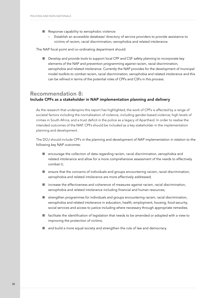- Response capability to xenophobic violence:
	- Establish an accessible database/ directory of service providers to provide assistance to victims of racism, racial discrimination, xenophobia and related intolerance.

The NAP focal point and co-ordinating department should:

■ Develop and provide tools to support local CPF and CSF safety planning to incorporate key elements of the NAP and prevention programming against racism, racial discrimination, xenophobia and related intolerance. Currently the NAP provides for the development of municipal model toolkits to combat racism, racial discrimination, xenophobia and related intolerance and this can be refined in terms of the potential roles of CPFs and CSFs in this process.

### Recommendation 8: Include CPFs as a stakeholder in NAP implementation planning and delivery

As the research that underspins this report has highlighted, the work of CPFs is affected by a range of societal factors including the normalisation of violence, including gender-based violence; high levels of crimes in South Africa; and a trust deficit in the police as a legacy of Apartheid. In order to realise the intended outcomes of the NAP, CPFs should be included as a key stakeholder in the implementation planning and development.

The DOJ should include CPFs in the planning and development of NAP implementation in relation to the following key NAP outcomes:

- encourage the collection of data regarding racism, racial discrimination, xenophobia and related intolerance and allow for a more comprehensive assessment of the needs to effectively combat it;
- ensure that the concerns of individuals and groups encountering racism, racial discrimination, xenophobia and related intolerance are more effectively addressed;
- increase the effectiveness and coherence of measures against racism, racial discrimination, xenophobia and related intolerance including financial and human resources;
- strengthen programmes for individuals and groups encountering racism, racial discrimination, xenophobia and related intolerance in education, health, employment, housing, food security, social services and access to justice including where necessary through appropriate remedies;
- facilitate the identification of legislation that needs to be amended or adopted with a view to improving the protection of victims;
- and build a more equal society and strengthen the rule of law and democracy.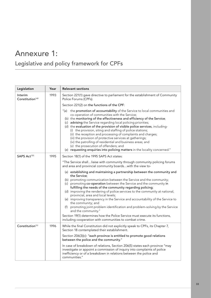# Annexure 1:

# Legislative and policy framework for CPFs

| Legislation                            | Year | <b>Relevant sections</b>                                                                                                                                                                                                                                                                                                                                                                                                                                                                                                                                                                                                                                                                                                               |
|----------------------------------------|------|----------------------------------------------------------------------------------------------------------------------------------------------------------------------------------------------------------------------------------------------------------------------------------------------------------------------------------------------------------------------------------------------------------------------------------------------------------------------------------------------------------------------------------------------------------------------------------------------------------------------------------------------------------------------------------------------------------------------------------------|
| Interim<br>Constitution <sup>149</sup> | 1993 | Section 221(1) gave directive to parliament for the establishment of Community<br>Police Forums (CPFs).                                                                                                                                                                                                                                                                                                                                                                                                                                                                                                                                                                                                                                |
|                                        |      | Section 221(2) on the functions of the CPF:                                                                                                                                                                                                                                                                                                                                                                                                                                                                                                                                                                                                                                                                                            |
|                                        |      | "(a) the promotion of accountability of the Service to local communities and<br>co-operation of communities with the Service;<br>(b) the monitoring of the effectiveness and efficiency of the Service;<br>(c) advising the Service regarding local policing priorities;<br>(d) the evaluation of the provision of visible police services, including-<br>(i) the provision, siting and staffing of police stations;<br>(ii) the reception and processing of complaints and charges;<br>(iii) the provision of protective services at gatherings;<br>(iv) the patrolling of residential and business areas; and<br>(v) the prosecution of offenders; and<br>(e) requesting enquiries into policing matters in the locality concerned." |
| SAPS Act <sup>150</sup>                | 1995 | Section 18(1) of the 1995 SAPS Act states:                                                                                                                                                                                                                                                                                                                                                                                                                                                                                                                                                                                                                                                                                             |
|                                        |      | "The Service shallliaise with community through community policing forums<br>and area and provincial community boardswith the view to-                                                                                                                                                                                                                                                                                                                                                                                                                                                                                                                                                                                                 |
|                                        |      | (a) establishing and maintaining a partnership between the community and<br>the Service;<br>(b) promoting communication between the Service and the community;<br>(c) promoting co-operation between the Service and the community in<br>fulfilling the needs of the community regarding policing;<br>(d) improving the rendering of police services to the community at national,<br>provincial, area and local levels;<br>(e) improving transparency in the Service and accountability of the Service to<br>the community; and<br>(f) promoting joint problem identification and problem-solving by the Service<br>and the community."                                                                                               |
|                                        |      | Section 19(1) determines how the Police Service must execute its functions,<br>including cooperation with communities to combat crime.                                                                                                                                                                                                                                                                                                                                                                                                                                                                                                                                                                                                 |
| Constitution <sup>151</sup>            | 1996 | While the final Constitution did not explicitly speak to CPFs, its Chapter 7,<br>Section 18 contemplated their establishment.                                                                                                                                                                                                                                                                                                                                                                                                                                                                                                                                                                                                          |
|                                        |      | Section 206(3)(c): "each province is entitled to promote good relations<br>between the police and the community."                                                                                                                                                                                                                                                                                                                                                                                                                                                                                                                                                                                                                      |
|                                        |      | In case of breakdown of relations, Section 206(5) states each province "may<br>investigate or appoint a commission of inquiry into complaints of police<br>inefficiency or of a breakdown in relations between the police and<br>communities."                                                                                                                                                                                                                                                                                                                                                                                                                                                                                         |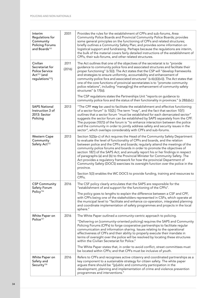| Interim<br>Regulations for<br>Community<br><b>Policing Forums</b><br>and Boards <sup>152</sup>                  | 2001           | Provides the rules for the establishment of CPFs and sub-forums, Area<br>Community Police Boards and Provincial Community Police Boards; provides<br>some general principles on the functioning of CPFs and related structures;<br>briefly outlines a Community Safety Plan; and provides some information on<br>logistical support and fundraising. Perhaps because the regulations are interim,<br>the bulk of the material covers fairly detailed instructions of the establishment of<br>CPFs, their sub-forums, and other related structures.                                                                                                                                                                                                                     |
|-----------------------------------------------------------------------------------------------------------------|----------------|------------------------------------------------------------------------------------------------------------------------------------------------------------------------------------------------------------------------------------------------------------------------------------------------------------------------------------------------------------------------------------------------------------------------------------------------------------------------------------------------------------------------------------------------------------------------------------------------------------------------------------------------------------------------------------------------------------------------------------------------------------------------|
| Civilian<br>Secretariat for<br><b>Police Service</b><br>Act <sup>153</sup> (and<br>regulations <sup>154</sup> ) | 2011<br>(2016) | The Act outlines that one of the objectives of the secretariat is to "provide<br>guidance to community police fora and associated structures and facilitate their<br>proper functioning" (s 5(i)). The Act states that the CSP will "develop frameworks<br>and strategies to ensure uniformity, accountability and enhancement of<br>community police fora and associated structures" (s 6(c)(i)(vii)). The Act states that<br>one of the core functions of provincial secretariates is to "promote community<br>police relations", including "manag[ing] the enhancement of community safety<br>structures" (s 17(b)).                                                                                                                                                |
|                                                                                                                 |                | The CSP regulations states the Partnerships Unit "reports on guidance to<br>community police fora and the status of their functionality in provinces." (s 28(b)(v).)                                                                                                                                                                                                                                                                                                                                                                                                                                                                                                                                                                                                   |
| <b>SAPS National</b><br>Instruction 3 of<br>2013: Sector<br>Policing                                            | 2013           | "The CPF may be used to facilitate the establishment and effective functioning<br>of a sector forum" (s 10(2).) The term "may", and the fact that section 10(1)<br>outlines that a sector forum "must be established for each demarcated sector"<br>suggests the sector forum can be established by SAPS separately from the CPF.<br>The purpose (10(1)) of the forum is "to enhance interaction between the police<br>and the community in order to jointly address safety and security issues in the<br>sector", which overlaps considerably with CPFs and sub-forums.                                                                                                                                                                                               |
| <b>Western Cape</b><br>Community<br>Safety Act <sup>155</sup>                                                   | 2013           | Section 5(2)(a-c) of Act requires the Head of the Community Safety Department<br>to evaluate the level of functionality of CPFs and boards, and the relation<br>between police and the CPFs and boards; regularly attend the meetings of the<br>community police forums and boards in order to promote the objectives of<br>section 18(1) of the SAPS Act; and annually report his or her findings in respect<br>of paragraphs (a) and (b) to the Provincial Minister for Community Safety. The<br>Act provides a regulatory framework for how the provincial Department of<br>Community Safety (DOCS) exercises its oversight function over the police in the<br>province.<br>Section 5(3) enables the WC DOCS to provide funding, training and resources to<br>CPFs. |
| <b>CSP Community</b>                                                                                            | 2016           | The CSF policy clearly articulates that the SAPS are responsible for the                                                                                                                                                                                                                                                                                                                                                                                                                                                                                                                                                                                                                                                                                               |
| Safety Forum<br>Policy <sup>156</sup>                                                                           |                | "establishment of and support for the functioning of the CPFs"<br>The policy goes to lengths to explain the difference between a CSF and CPF,<br>with CPFs being one of the stakeholders represented in CSFs, which operate at<br>the municipal level to "facilitate and enhance co-operation, integrated planning<br>and coordinate implementation of safety programmes and projects in the local<br>sphere."                                                                                                                                                                                                                                                                                                                                                         |
| White Paper on                                                                                                  | 2016           | The White Paper outlined a community-centric approach to policing.                                                                                                                                                                                                                                                                                                                                                                                                                                                                                                                                                                                                                                                                                                     |
| Police <sup>157</sup>                                                                                           |                | "Delivering on [community-oriented policing] requires the SAPS and Community<br>Policing Forums (CPFs) to forge cooperative partnerships to facilitate regular<br>communication and information sharing. Issues relating to the operational<br>effectiveness of CPFs and their ability to properly execute their mandate in<br>terms of oversight over the police will be resolved by locating these structures<br>within the Civilian Secretariat for Police."                                                                                                                                                                                                                                                                                                        |
|                                                                                                                 |                | The White Paper states that, in order to avoid conflict, street committees must<br>be located within CPFs; and that CPFs must be inclusive of youth.                                                                                                                                                                                                                                                                                                                                                                                                                                                                                                                                                                                                                   |
| White Paper on<br>Safety and<br>Security <sup>158</sup>                                                         | 2016           | Refers to CPFs and recognises active citizenry and coordinated partnerships as a<br>key component to a sustainable strategy for citizen safety. The white paper<br>argues there should be "[p]ublic and community participation in the<br>development, planning and implementation of crime and violence prevention<br>programmes and interventions."                                                                                                                                                                                                                                                                                                                                                                                                                  |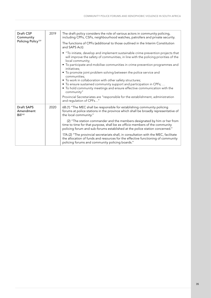| Draft CSP<br>Community<br>Policing Policy <sup>159</sup> | 2019 | The draft policy considers the role of various actors in community policing,<br>including CPFs, CSFs, neighbourhood watches, patrollers and private security.                                                                                                                                                                                                                                                                                                                                                                                                                                                                                                                                                              |
|----------------------------------------------------------|------|----------------------------------------------------------------------------------------------------------------------------------------------------------------------------------------------------------------------------------------------------------------------------------------------------------------------------------------------------------------------------------------------------------------------------------------------------------------------------------------------------------------------------------------------------------------------------------------------------------------------------------------------------------------------------------------------------------------------------|
|                                                          |      | The functions of CPFs (additional to those outlined in the Interim Constitution<br>and SAPS Act):                                                                                                                                                                                                                                                                                                                                                                                                                                                                                                                                                                                                                          |
|                                                          |      | • "To initiate, develop and implement sustainable crime prevention projects that<br>will improve the safety of communities, in line with the policing priorities of the<br>local community;<br>• To participate and mobilise communities in crime prevention programmes and<br>initiatives;<br>• To promote joint problem solving between the police service and<br>communities;<br>• To work in collaboration with other safety structures;<br>• To ensure sustained community support and participation in CPFs;<br>• To hold community meetings and ensure effective communication with the<br>community"<br>Provincial Secretariates are "responsible for the establishment, administration<br>and regulation of CPFs" |
| <b>Draft SAPS</b><br>Amendment<br>Bill <sup>160</sup>    | 2020 | 6B.(1) "The MEC shall be responsible for establishing community policing<br>forums at police stations in the province which shall be broadly representative of<br>the local community."<br>(2) "The station commander and the members designated by him or her from<br>time to time for that purpose, shall be ex officio members of the community<br>policing forum and sub-forums established at the police station concerned."<br>17A.(2) "The provincial secretariats shall, in consultation with the MEC, facilitate<br>the allocation of funds and resources for the effective functioning of community<br>policing forums and community policing boards."                                                           |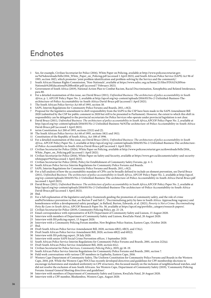# Endnotes

- 1 See, for example, Civilian Secretariat for Police (2016), White Paper on Policing, available at http://www.policesecretariat.gov. za/%£%downloads/bills/2016\_White\_Paper\_on\_Policing.pdf (accessed 1 April 2021), and South African Police Service (SAPS) Act 96 of 1995, section 18(f), which promotes 'joint problem identification and problem-solving by the Service and the community'.
- 2 South African Human Rights Commission, 'Non-Nationals', available at https://www.sahrc.org.za/home/21/files/FINAL%20Non-Nationals%20Educational%20Booklet.pdf (accessed 7 February 2021).
- 3 Government of South Africa (2019), National Action Plan to Combat Racism, Racial Discrimination, Xenophobia and Related Intolerance, para 80.
- 4 For a detailed examination of this issue, see David Bruce (2011), *Unfinished Business: The architecture of police accountability in South Africa*, p. 1, APCOF Policy Paper No. 2, available at http://apcof.org/wp-content/uploads/2016/05/No-2-Unfnished-Business-Thearchitecture-of-Police-Accountability-in-South-Africa-David-Bruce.pdf (accessed 1 April 2021).
- 5 The South African Police Service Act 68 of 1995, section 18.
- 6 SAPS, Interim Regulations for Community Police Forums and Boards, 2011, s 8(2).<br>7 Proposal for the legislative amendment to shift responsibility from the SAPS to the
- 7 Proposal for the legislative amendment to shift responsibility from the SAPS to the CSP have been made in the SAPS Amendment Bill 2020 (submitted by the CSP for public comment in 2020 but still to be presented to Parliament). However, the extent to which this shift in responsibility can be delegated to the provincial secretariats for Police Services who operate under provincial legislation is not clear.
- 8 David Bruce (2011), *Unfinished Business: The architecture of police accountability in South Africa*, APCOF Policy Paper No. 2, available at http://apcof.org/wp-content/uploads/2016/05/No-2-Unfnished-Business-%£%The-architecture-of-Police-Accountability-in-South-Africa-David-Bruce.pdf (accessed 1 April 2021).
- 9 terim Constitution Act 200 of 1993, sections 221(1) and (2).
- The South African Police Service Act 68 of 1995, sections 18(1) and 19(1).
- 11 Constitution of the Republic of South Africa, Act 108 of 1996.
- 12 For a detailed examination of this issue, see David Bruce (2011), *Unfinished Business: The architecture of police accountability in South Africa*, APCOF Policy Paper No. 2, available at http://apcof.org/wp-content/uploads/2016/05/No-2-Unfnished-Business-The-architectureof-Police-Accountability-in-South-Africa-David-Bruce.pdf (accessed 1 April 2021).
- 13 Civilian Secretariat for Police (2026), White Paper on Policing, available at http://www.policesecretariat.gov.za/downloads/bills/2016\_ White\_Paper\_on\_Policing.pdf (accessed 1 April 2021).
- 14 Civilian Secretariat for Police (2016), White Paper on Safety and Security, available at https://www.gov.za/documents/safety-and-securitywhitepaper#%£%(accessed 1 April 2021).
- 15 Civilian Secretariat for Police (2016), Policy for Establishment of Community Safety Forums, pp. 4–5.
- 16 South African Police Service Interim Regulations for Community Police Forums and Boards.
- 17 SAPS, Interim Regulations for Community Police Forums and Boards, 2011, s 8(2).
- 18 For a full analysis of how the accountability mandate of CPFs can be broadly defined to include an element prevention, see David Bruce (2011), *Unfinished Business: The architecture of police accountability in South Africa*, APCOF Policy Paper No. 2, available at http://apcof. org/wp-content/uploads/2016/05/No-2-Unfnished-Business-The-architecture-of-Police-Accountability-in-South-Africa-David-Bruce.pdf (accessed 1 April 2021).
- 19 David Bruce (2011), *Unfinished Business: The architecture of police accountability in South Africa*,APCOF Policy Paper No. 2, available at http://apcof.org/wp-content/uploads/2016/05/No-2-Unfinished-Business-The-architecture-of-Police-Accountability-in-South-Africa-David-Bruce.pdf (accessed 1 April 2021).
- 20 Ibid.
- 21 For a full explanation of the legislative and policy framework guiding the promotion of community safety, and the role of crime and%£%violence prevention in that, see Burton P and Sali C, 'Decriminalising petty by-laws in South Africa: Approaching vagrancy and homelessness within a developmental safety paradigm', in Ballard, Burton, Edwards, et al. (2021), *Poverty is Not a Crime: Decriminalising Petty By-Laws in South Africa*, APCOF Research Paper No. 30, available at https://apcof.org/portfolio\_category/research-papers/.
- 22 Civilian Secretariat for Police (2019), Community Policing Policy, pp. 21–24.<br>23 Civilian Secretariat for Police (2019), Community Policing Policy, pp. 21–24.
- 23 Email correspondence with representative of KZN Department of Community Safety and Liaison, 15 August 2020.
- 24 Interview with members of Department of Community Safety and Liaison, KwaZulu-Natal, 20 August 2020.
- 25 Interview with ISS policing expert, 13 August 2020.<br>26 Interview with a Community Policing Forum mem
- 26 Interview with a Community Policing Forum member, New Brighton Police Station, Eastern Cape, October 2020.<br>27 Ibid

27 Ibid.

- 28 Draft South African Police Service Amendament Bill, 2020, sections 6B(1), 6B(3), and 17A(c).<br>29 Draft South African Police Service Amendment Bill, 2020, sections 6B(2) and 6H(2).
- 29 Draft South African Police Service Amendment Bill, 2020, sections 6B(2) and 6H(2).
- 30 Interview with ISS policing expert, 29 July 2020.
- Interview with senior SAPS Social Crime Prevention officer, 1 September 2020.
- 32 South African Police Service Interim Regulations for Community Police Forums and Boards, 2001, section 2(2)(a).
- 33 Draft South African Police Service Amendment Bill, 2020, section 61(c).
- 34 Civilian Secretariat for Police Services, *Community Policing Policy*, 2019, pp 18–19.
- 35 South African Police Service Interim Regulations for Community Police Forums and Boards, 2001, section 7.<br>36 Field work conversations with various CPF members in Goeberha, Eastern Cape, 2016
- 36 Field work conversations with various CPF members in Gqeberha, Eastern Cape, 2016.
- 37 Western Cape Department of Community Safety, The Uniform Constitution for Community Police Forums and Boards in the Western Cape, 2010, p18. While the Western Cape PDCS has recently developed directives and guidelines for CPF membership elections to encourage inclusiveness and standard uniformity in CPF structures, this focussed mainly on the inclusion of neighbourhood watches, and did not resolve the exclusion of non-South Africans. See Western Cape, Department of Community Safety (2019), 'Community Policing Forums Annual General Meeting directives and guidelines'.
- 38 Interview with members of Department of Community Safety and Liaison, KwaZulu Natal, 20 August 2020.
- Interview with a CPF member, Bloekembos, Western Cape, August 2020.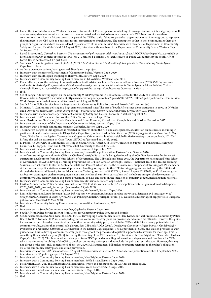- 40 Under the KwaZulu-Natal and Western Cape constitutions for CPFs, any person who belongs to an organisation or interest groups as well as other recognised community structures can be nominated and elected to become a member of a CPF. In terms of some these constitutions, non-South Africans can also be part of the CPF but only if they are part of an organisation or an interest group to represent their interest in the CPF such as a business forum, association or church group. The assumption is that in these communities there are groups or organisations which are considered representative of the 'community'. Interview with members of Department of Community Safety and Liaison, KwaZulu-Natal, 20 August 2020; Interview with members of the Department of Community Safety, Western Cape, 14 August 2020.
- 41 David Bruce (2011), *Unfinished Business: The architecture of police accountability in South Africa*,APCOF Policy Paper No. 2, available at http://apcof.org/wp-content/uploads/2016/05/No-2-Unfnished-Business-The-architecture-of-Police-Accountability-in-South-Africa-David-Bruce.pdf (accessed 1 April 2021).
- 42 Southern African Migration Project (SAMP) (2017), *The Perfect Storm: The Realities of Xenophobia in Contemporary South Africa*. Cape Town: Idasa.
- 43 Author's own observations, having worked directly on the project.
- 44 Interview with members of Department of Community Safety, Western Cape, 2020.
- 45 Interview with an Ethiopian shopkeeper, Ikamvelihle, Eastern Cape, 2020.
- 46 Interview with a Community Policing Forum member in Khayelitsha, Western Cape, 2017.
- 47 For a full analysis of the policing of non-nationals in South Africa, see Louise Edwards and Laura Freeman (2021), *Policing and nonnationals: Analysis of police prevention, detection and investigation of xenophobic violence in South Africa*, African Policing Civilian Oversight Forum, 2021, available at https://apcof.org/portfolio\_category/publications/ (accessed 26 May 2021).
- 48 Ibid.<br>49 See l
- See M Langa, 'A follow-up report on the Community Work Programme in Bokfontein', Centre for the Study of Violence and Reconciliation, August 2015, available at https://www.csvr.org.za/wp-content/uploads/2015/07/A-Follow-Up-Report-on-the-Community-Work-Programme-in-Bokfontein.pdf (accessed on 19 August 2021).
- 50 South African Police Service Interim Regulations for Community Police Forums and Boards, 2001, section 6(4).
- 51 Minnaar, A, Community policing in a high crime transitional state: The case of South Africa since democratisation in 1994, in D Wisler and I Onwudiwe (eds) (2010), *Community policing – International patterns and comparative perspectives*, CRC Press.
- 52 Interviews with members of Department of Community Safety and Liaison, KwaZulu-Natal, 20 August 2020.
- 53 Interview with SAPS member, Ikamvelihle Police Station, Eastern Cape, 2016.
- 54 Azwi Netshikulwe, Guy Lamb, Ncedo Mngqibisa and Laura Freeman, Khayelitsha: Xenophobia and Outsider Exclusion, 2017.
- 55 Interview with member of the Department of Community Safety, Western Cape, 2020.
- 56 Interview with a Somali community member, Gqeberha, Eastern Cape, 2020.
- 57 The inherent danger in this approach is reflected in research about the rise, and consequences, of extortion on businesses, including in particular Somali-run businesses, in Khayelitsha, Cape Town, as described in Peter Gastrow (2021), *Lifting the Veil on Extortion in Cape Town*, Global Initiative Against Transnational Organised Crime, available at https://globalinitiative.net/wp-content/uploads/2021/04/ Lifting-the-veil-on-extortion-in-Cape-Town-GITOC.pdf (accessed on 23 July 2021).
- 58 E. Pelser, 'An Overview of Community Policing in South Africa', Annex C in Policy Guidance on Support to Policing in Developing Countries, I. Clegg, R. Hunt, and J. Whetton, 2000, University of Wales, Swansea.
- 59 Interview with senior SAPS social crime prevention member, 1 September 2020.
- 60 Interview with a Community Policing Forum member, Ikamvelihle police station, Eastern Cape, October 2020.
- 61 A uniform training curriculum for CPFs on 'Civilian Oversight' is currently being developed by the Civilian Secretariat for Police, with curriculum development from the Wits Schools of Governance. The CSP explains: 'Since 2019, the Department has engaged Wits School of Governance (WSG) to develop a Training Programme for CPFs on Civilian Oversight. Phase 1 – national Train-the-Trainer training Sessions – are scheduled to start in September 2020, and Phase 2, which will be the en-masse roll- out phase of Training of CPF members at their respective police stations across all provinces. Funding for support to the CPFs training programmes is done by the CSPS and through the Safety and Security Sector Education and Training Authority (SASSETA)', Annual Report 2019/2020, at 50. However, given its focus on training on civilian oversight, it is not clear whether the uniform curriculum will include training on the development of community safety plans; violence and crime prevention; or have any focus on the inclusion of minority groups, including non-nationals. 62 Interview with a Community Policing Forum member, Motherwell, Eastern Cape, 2020.
- 63 Civilian Secretariat for Police Service, 'Annual Report 2020', at 50, available at <http://www.policesecretariat.gov.za/downloads/reports/> CSPS\_2019\_2020\_Annual\_Report.pdf (accessed on 23 July 2021).
- 64 Interview with a Community Policing Forum member, Motherwell, Eastern Cape, 2020.
- 65 Louise Edwards and Laura Freeman (2021), *Policing and non-nationals: Analysis of police prevention, detection and investigation of xenophobic%£%violence in South Africa*, African Policing Civilian Oversight Forum, p 3, available at https://apcof.org/portfolio\_category/ publications/ (accessed 26 May 2021).
- 66 Interview a Community Policing Forum member, Ikamvelihle, Eastern Cape, 2020.
- 67 Ibid.
- 68 Interview with a Somali Community member, Gqeberha, Eastern Cape, 2020.
- 69 South African Police Service Interim Regulations for Community Police Forums and Boards.<br>70 See for example, in KwaZulu-Natal the KZN PDCS 'Developing a Community Safety Plan: K
- 70 See, for example, in KwaZulu-Natal the KZN PDCS, 'Developing a Community Safety Plan: KwaZulu Natal Provincial Community Police Board Toolkit'. National CSP has developed a guide on community safety plans for provincial and municipal officials. However, this guide focusses on a much broader conceptualisation of the community safety plan, in which the CPFs and SAPS are merely potential actors of community safety, rather than central role players. See: CSP and SALGA (2020), *Developing Community Safety Plans: A Guidebook for Provincial and Municipal Officials*. A CPF member in the Eastern Cape explains: 'The Department of Safety and Liaison provides us with guidance on how to develop community safety plans throughout the process and logistical support such as venues for meetings. This is something they started last year [2019], including the training of the CPF members." (Interview with New Brighton CPF member, Eastern Cape, October 2020). This intervention and support from PDCS provides enabling information andsystems – and funding – for CPFs, which may improve the ability of the CPF to develop community safety plans that include the police as central actors. However, this may not always be the case, and, as mentioned above, the 2020 SAPS amendment bill makes no specific reference to the police's obligations vis-à-vis community safety plans and crime prevention.
- 71 Interview with former SAPS senior official, 5 August 2020; interview with senior SAPS social crime prevention member, 1 September 2020; interview with ISS policing expert, 13 August 2020.
- 72 Interview with a Community Policing Forum member, New Brighton, Eastern Cape, 2020.
- 73 Interview with a Community Policing Forum members, Wells Estate, Eastern Cape, 2019.
- 74 Fieldwork in 2016–2017 in Motherwell and Ikamvelihle, where, in both stations, the CPF has an office space.
- 75 Interview with a Community Policing Forum members, Wells Estate, Eastern Cape, 2019.
- 76 Interview with sub-forum members in Dunoon, Western Cape, 2016.
- Interview with a Community Policing Forum member, New Brighton, Eastern Cape, 2020.
- 78 Ibid.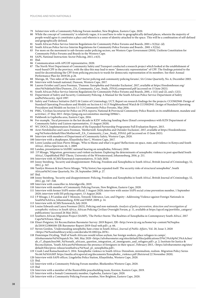- 79 InInterview with a Community Policing Forum member, New Brighton, Eastern Cape, 2020.
- 80 While the concept of 'community' is relatively vague, it is used here to refer to geographically defined places, wherein the majority of people would agree it constitutes a place and wherein is a sense of identity attached to the space. This will be a combination of self-defined and geographically defined.
- 81 South African Police Service Interim Regulations for Community Police Forums and Boards, 2001 s 3(2)(a)–(d).
- 82 South African Police Service Interim Regulations for Community Police Forums and Boards , 2001 s 3(2)(e).
- 83 For more on the movement to sub-forums under policing sectors, see Western Cape Government (2010), Uniform Constitution for Community Police Forums and Boards in the Western Cape.
- 84 SAPS, National Instruction: Sector Policing, 2013, s 6(3).
- 85 Ibid.
- 86 Communication with APCOF representative, 2020.
- 87 The North West Department of Community Safety and Transport conducted a research project which looked at the establishment of ward-based CPF in the province, with the idea this may lead to more "democratic representation" of CPF. The findings pointed to the need for decentralising the CPF from policing precincts to wards for democratic representation of its members. See their Annual Performance Plan for 2019/20, p.26.
- 88 Maroga, M, 'Two sides of the same coin? Sector policing and community policing forums', SA Crime Quarterly, No. 6, December 2003.
- 89 Interview with Somali national, Dunoon, Western Cape, 2017.
- 90 Lauren October and Laura Freeman, 'Dunoon: Xenophobia and Outsider Exclusion', 2017, available at https://freedomhouse.org/ sites/%£%default/files/Dunoon\_ZA\_Community\_Case\_Study\_FINALcompressed.pdf (accessed on 15 June 2021).
- 91 South African Police Service Interim Regulations for Community Police Forums and Boards, 2001, s 11(1) and (2), and s 12(1). 92 Department of Safety and Security, Community Policing: A Manual for the South African Police Service Department of Safety and%£%Security, April 1997.
- 93 Safety and Violence Initiative (SaVI) & Centre of Criminology, UCT, Report on research findings for the projects: CCOS02940: Design of Standard Operating Procedures and Models on Section 6.1-6.13 Neighbourhood Watch & CCOS02941: Design of Standard Operating Procedures and Models on Section 5.1-5.3 Community Police Forums, May 2016.
- 94 PMG, 'Civilian Secretariat for Police on DVA reports; National & Provincial Community Police Boards on its establishment, mandate and activities', 27 May 2015 <https://pmg.org.za/committee-meeting/20966/>.
- 95 Fieldwork in Gqeberha area, Eastern Cape, 2016.
- 96 For example, 'fiscal pressures in the last decade in KZN' reducing funding there (Email correspondence with KZN Department of Community Safety and Liaison representative, 15 August 2020).
- 97 WC DOCS, Implementation Evaluation of the Expanded Partnership Programme Full Evaluation Report, 2015.
- 98 Azwi Netshikulwe and Laura Freeman, 'Motherwell: Xenophobia and Outsider Exclusion', 2017, available at https://freedomhouse. org/%£%sites/default/files/Motherwell\_ZA\_Community\_Case\_Study\_FINAL.pdf (accessed on 15 June 2021).
- 99 Interview with members of Department of Community Safety, Western Cape, 2020.
- 100 Interview with a shopkeeper, Khayelitsha Site C, Western Cape, 2017.
- 101 Loren Landau and Jean-Pierre Misago, 'Who to blame and what's to gain? Reflections on space, state, and violence in Kenya and South Africa', Africa Spectrum 44, 1, 2009.
- 102 Landau, presentation to SAHRC national hearing on xenophobia, February 2018.
- 103 J P Misago, 'Migration, governance and violent exclusion: Exploring the determinants of xenophobic violence in post-apartheid South Africa', Unpublished PhD Thesis, University of the Witwatersrand, Johannesburg, 2016, p. 211.
- 104 Interview with ACMS/Xenowatch representatives, 31 July 2020.
- 105 Jonny Steinberg, 'Security and disappointment: Policing, Freedom and Xenophobia in South Africa', British Journal of Criminology, 52, 2012, p. 347.
- 106 Tamlyn Monson & Jean Pierre Misago, "Why history has repeated itself: The security risks of structural xenophobia", South African%£%Crime Quarterly, No. 29, September 2009, p. 27.
- 107 Ibid.
- 108 Jonny Steinberg, 'Security and disappointment: Policing, Freedom and Xenophobia in South Africa', British Journal of Criminology, 52, 2012, pp. 347–348.
- 109 Interview with councillor in Atteridgeville, 2019.
- 110 Interview with member of Community Policing Forum, New Brighton, Eastern Cape, 2020.
- 111 Interview with former SAPS senior official, 5 August 2020; interview with senior SAPS social crime prevention member, 1 September 2020; interview with ISS policing expert, 13 August 2020.
- 112 J P Misago, L B Landau and T Monson, Towards Tolerance, Law, and Dignity : Addressing Violence against Foreign Nationals in South%£%Africa, Johannesburg, IOM and FMSP, 2009, p. 14.
- 113 Interview with ACMS/Xenowatch, July 2020.
- 114 Louise Edwards and Laura Freeman (2021), Policing and non-nationals: *Analysis of police prevention, detection and investigation of xenophobic violence in South Africa*, African Policing Civilian Oversight Forum, p. 11, available at https://apcof.org/portfolio\_category/ publications/ (accessed 26 May 2021).
- 115 Southern African Migration Project (SAMP), 'The Perfect Storm: The Realities of Xenophobia in Contemporary South Africa', 2017 Cape%£%Town: Idasa.
- 116 Elnari Potgieter, SA Reconciliation Barometer Survey: 2019 Report, IJR <http://www.ijr.org.za/home/wp-content/%£%uploa ds/2019/12/800108-IJR-Barometer-Report-2019-final-web.pdf>, p. 66.
- 117 Steven Gordon, 'Understanding xenophobic hate crime in South Africa', *Journal of Public Affairs*, Vol. 20, Issue 3, 2020 <https://%£%onlinelibrary.wiley.com/doi/abs/10.1002/pa.2076>.
- 118 Dominique Dryding, 'Half of South Africans would refuse asylum, bar foreign workers, place refugees in camps', Afrobarometer%£%Dispatch No. 360, May 2020 <https://afrobarometer.org/sites/default/files/publications/D%C3%A9p%C3%AAches/ ab\_r7\_dispatchno360\_%£%south\_africans\_question\_integration\_of\_immigrants\_and\_refugees.pdf>, p. 2; Institute for Justice & Reconciliation, 'South Africans%£%bemoan the presence of foreigners in their spaces', February 2015, <https://afrobarometer.org/sites/ default/files/press-release/southafrica/%£%saf\_pr\_xenophobia.pdf>.
- 119 Crush J and Ramachandran S. 2014. Xenophobic violence in South Africa: Denialism, minimalism, realism. Migration Policy Series No.66.%£%SAMP. https://media.africaportal.org/documents/Xenophobic\_violence.pdf (Retrieved 22 November 2020). 120 Interview with SAPS officer, Lingelethu Police Station, Khayelitsha, Western Cape, 2020.
- 121 Ibid.
- 122 Interview with a Community Policing Forum member, Bloekembos Western Cape, 2020.
- 123 Ibid
- 124 Interview with a member of the Ikamvelihle peacebuilding team, Korsten, Eastern Cape, 2019.
- 125 Interview with a Somali Community member, Gqeberha, Eastern Cape, 2020.
- 126 Interview with a Community Policing Forum member, New Brighton, Eastern Cape, 2020.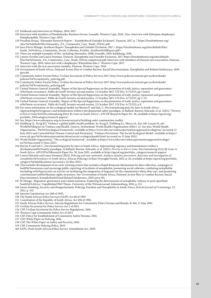127 Fieldwork and interviews in Walmer, 2016–2017.

- 128 Interview with members of Sinobulumko Business Forum, Lwandle, Western Cape, 2020. Also, Interview with Ethiopian shopkeeper, Masiphumelele, Western Cape, 2019.
- 129 Freedom House, 'Alexander Research Report Xenophobia & Outsider Exclusion', Dunoon, 2017, p. 7 https://freedomhouse.org/ sites/%£%default/files/Alexandra\_ZA\_Community\_Case\_Study\_FINAL.pdf.
- 130 Jean-Pierre Misago, Synthesis Report: Xenophobia and Outsider Exclusion, 2017 < https://freedomhouse.org/sites/default/files/ South\_%£%Africa\_Community\_Social\_Cohesion\_Profiles\_Synthesis%20Report.pdf>.
- 131 There are multiple examples of this, including Alexandra, 2008; Lwandle, 2019; Katlehong, 2018.
- 132 Lauren October and Laura Freeman, Dunoon: Xenophobia and Outsider Exclusion, 2017 https://freedomhouse.org/sites/default/ files/%£%Dunoon\_ZA\_Community\_Case\_Study\_FINALcompressed.pdf, Interview with members of Dunoon taxi association, Dunoon, Western Cape, 2016, Interview with a shopkeeper, Khayelitsha Site C, Western Cape, 2017.
- 133 Interview with the taxi association member, Dunoon, Western Cape, 2016.
- 134 Government of South Africa, National Action Plan to Combat Racism, Racial Discrimination, Xenophobia and Related Intolerance, 2019, para 80.
- 135 Community Safety Forum Policy, Civilian Secretariat of Police Services 2017, http://www.policesecretariat.gov.za/downloads/ policies/%£%community\_policing.pdf.
- 136 Community Safety Forum Policy, Civilian Secretariat of Police Services 2017, http://www.policesecretariat.gov.za/downloads/ policies/%£%community\_policing.pdf.
- 137 United Nations General Assembly, 'Report of the Special Rapporteur on the promotion of truth, justice, reparation and guarantees of%£%non-recurrence', Pablo de Greiff, Seventy-second session, 12 October 2017, UN Doc A/72/523, pp 3 and 8.
- 138 United Nations General Assembly, 'Report of the Special Rapporteur on the promotion of truth, justice, reparation and guarantees of%£%non-recurrence', Pablo de Greiff, Seventy-second session, 12 October 2017, UN Doc A/72/523, pp 3–22.
- 139 United Nations General Assembly, 'Report of the Special Rapporteur on the promotion of truth, justice, reparation and guarantees of%£%non-recurrence', Pablo de Greiff, Seventy-second session, 12 October 2017, UN Doc A/72/523, p 9.
- 140 For more information on the ecological model, see Burton P. and Sali, C, Decriminalising petty by-laws in South Africa: Approaching%£%vagrancy and homelessness within a developmental safety paradigm, in Ballard, Burton, Edwards, et al. (2021), "Poverty is Not a Crime:%£%Decriminalising Petty By-Laws in South Africa", APCOF Research Paper No. 30, available at https://apcof.org/ portfolio\_%£%category/research-papers/.
- 141 See, https://www.saferspaces.org.za/resources/entry/building-safer-communities-toolkit.
- 142 Dahlberg LL, Krug EG. Violence-a global public health problem. In: Krug E, Dahlberg LL, Mercy JA, Zwi AB, Lozano R, eds. World%£%Report on Violence and Health. Geneva, Switzerland: World Health Organization; 2002:1–21. See also, World Health Organisation, 'The%£%ecological framework', available at https://www.who.int/violenceprevention/approach/ecology/en/ (accessed 15 June 2021) and Centre%£%for Disease Control and Prevention, 'Violence Prevention: The Social-Ecological Model', available at https:// www.cdc.gov/%£%violenceprevention/about/social-ecologicalmodel.html (accessed on 15 June 2021).
- 143 World Health Organisation, 'The ecological framework', available at https://www.who.int/violenceprevention/approach/ecology/ en/%£%(accessed 15 June 2021).
- 144 Burton P and Sali C, Decriminalising petty by-laws in South Africa: Approaching vagrancy and homelessness within a developmental%£%safety paradigm, in Ballard, Burton, Edwards, et al. (2021), *Poverty is Not a Crime: Decriminalising Petty By-Laws in South Africa*, APCOF%£%Research Paper No. 30, June 2021, available at https://apcof.org/portfolio\_category/research-papers/.
- 145 Louise Edwards and Laura Freeman (2021), *Policing and non-nationals: Analysis of police prevention, detection and investigation of xenophobic%£%violence in South Africa*, African Policing Civilian Oversight Forum, 2021, p. 26, available at https://apcof.org/portfolio\_ category/%£%publications/ (accessed o 26 May 2021).
- 146 This includes development of an early warning system that includes a Rapid Response Mechanism for data collection, campaigns to build%£%awareness and encourage public reporting of incidents of xenophobia, promoting social cohesion, combating xenophobia (including in%£%particular an activity on facilitating the integration of migrants int the communities where they say), and promoting constitutional and%£%human rights awareness. See: Government of South Africa, National Action Plan to Combat Racism, Racial Discrimination, Xenophobia%£%and Related Intolerance, 2019, para 195.
- 147 JP Misago, 'Migration, governance and violent exclusion: Exploring the determinants of xenophobic violence in post-apartheid South%£%Africa', Unpublished PhD Thesis, University of the Witwatersrand, Johannesburg, 2016, p. 211.
- 148 Jonny Steinberg, Security and disappointment: Policing, Freedom and Xenophobia in South Africa, *British Journal of Criminology*, 52, 2012, p. 347.
- 149 Interim Constitution Act 200 of 1993.
- 150 The South African Police Services (SAPS) Act 68 of 1995.
- 151 Constitution of the Republic of South Africa, Act 108 of 1996.
- 152 South African Police Service, Interim Regulations for Community Police Forums and Boards, R.384, 11 May 2001.
- 153 Civilian Secretariat for Police Service Act 2 of 2011.
- 154 CSP, Civilian Secretariat for Police Service Regulations, 2016.
- 155 Western Cape Community Safety Act of 2013.
- 156 CSP, Policy for Establishment of Community Safety Forums, 2016.
- 157 CSP, White Paper on Policing, 2016.
- 158 CSP, The White Paper on Safety and Security, 2016.
- 159 CSP, Community Policing Policy, 2019.
- 160 SAPS, Draft South African Police Service Amendment Act, 2020.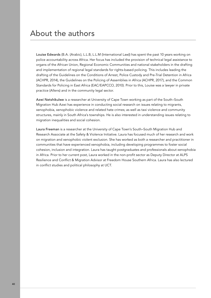# About the authors

Louise Edwards (B.A. (Arabic), L.L.B, L.L.M (International Law)) has spent the past 10 years working on police accountability across Africa. Her focus has included the provision of technical legal assistance to organs of the African Union, Regional Economic Communities and national stakeholders in the drafting and implementation of regional legal standards for rights-based policing. This includes leading the drafting of the Guidelines on the Conditions of Arrest, Police Custody and Pre-Trial Detention in Africa (ACHPR, 2014), the Guidelines on the Policing of Assemblies in Africa (ACHPR, 2017), and the Common Standards for Policing in East Africa (EAC/EAPCCO, 2010). Prior to this, Louise was a lawyer in private practice (Allens) and in the community legal sector.

Azwi Netshikulwe is a researcher at University of Cape Town working as part of the South–South Migration Hub Azwi has experience in conducting social research on issues relating to migrants, xenophobia, xenophobic violence and related hate crimes; as well as taxi violence and community structures, mainly in South Africa's townships. He is also interested in understanding issues relating to migration inequalities and social cohesion.

Laura Freeman is a researcher at the University of Cape Town's South–South Migration Hub and Research Associate at the Safety & Violence Initiative. Laura has focused much of her research and work on migration and xenophobic violent exclusion. She has worked as both a researcher and practitioner in communities that have experienced xenophobia, including developing programmes to foster social cohesion, inclusion and integration. Laura has taught postgraduates and professionals about xenophobia in Africa. Prior to her current post, Laura worked in the non-profit sector as Deputy Director at ALPS Resilience and Conflict & Migration Advisor at Freedom House Southern Africa. Laura has also lectured in conflict studies and political philosophy at UCT.